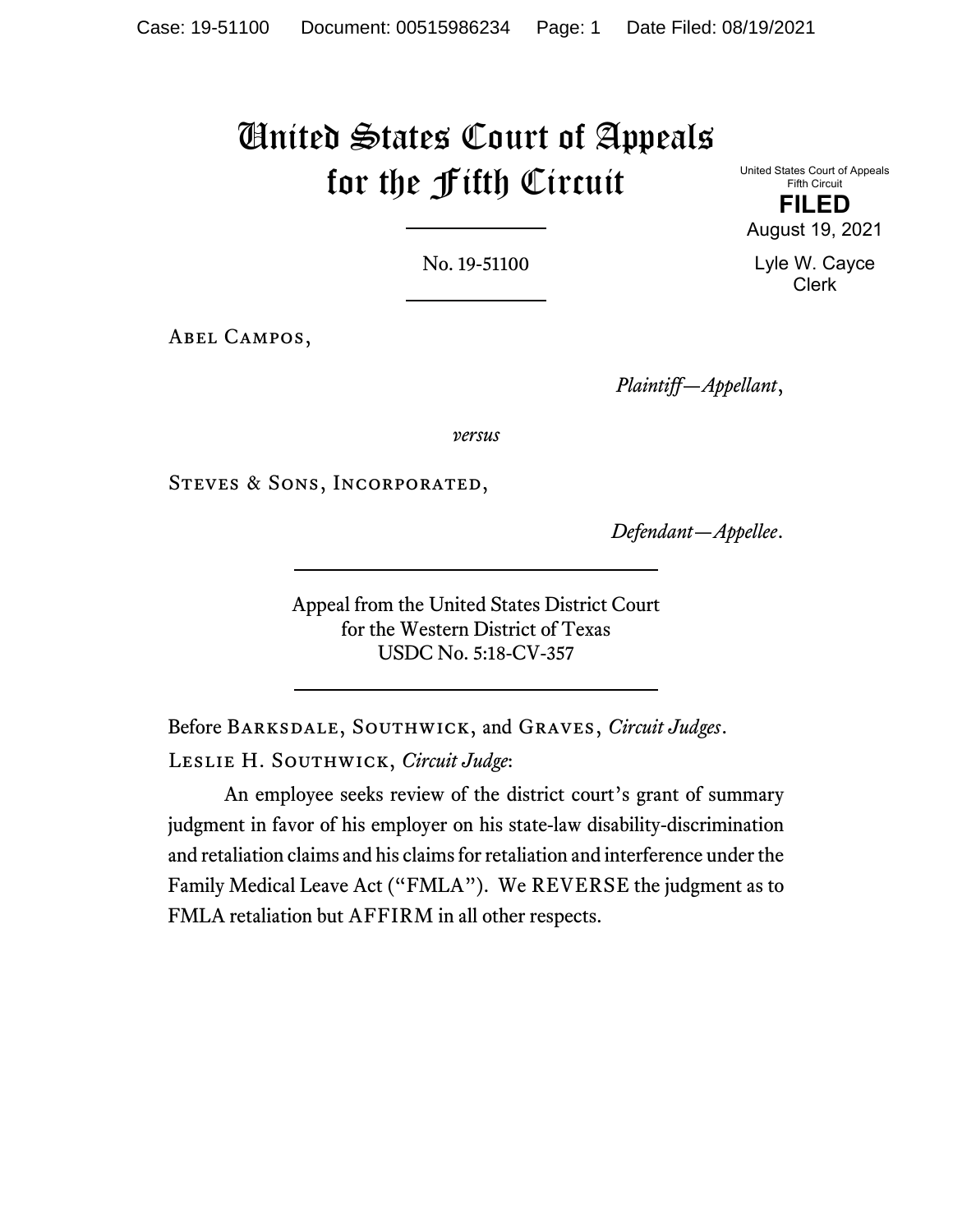# United States Court of Appeals for the Fifth Circuit

United States Court of Appeals Fifth Circuit

**FILED**

No. 19-51100

Abel Campos,

*Plaintiff—Appellant*,

*versus*

Steves & Sons, Incorporated,

*Defendant—Appellee*.

Appeal from the United States District Court for the Western District of Texas USDC No. 5:18-CV-357

Before Barksdale, Southwick, and Graves, *Circuit Judges*. Leslie H. Southwick, *Circuit Judge*:

An employee seeks review of the district court's grant of summary judgment in favor of his employer on his state-law disability-discrimination and retaliation claims and his claims for retaliation and interference under the Family Medical Leave Act ("FMLA"). We REVERSE the judgment as to FMLA retaliation but AFFIRM in all other respects.

August 19, 2021

Lyle W. Cayce Clerk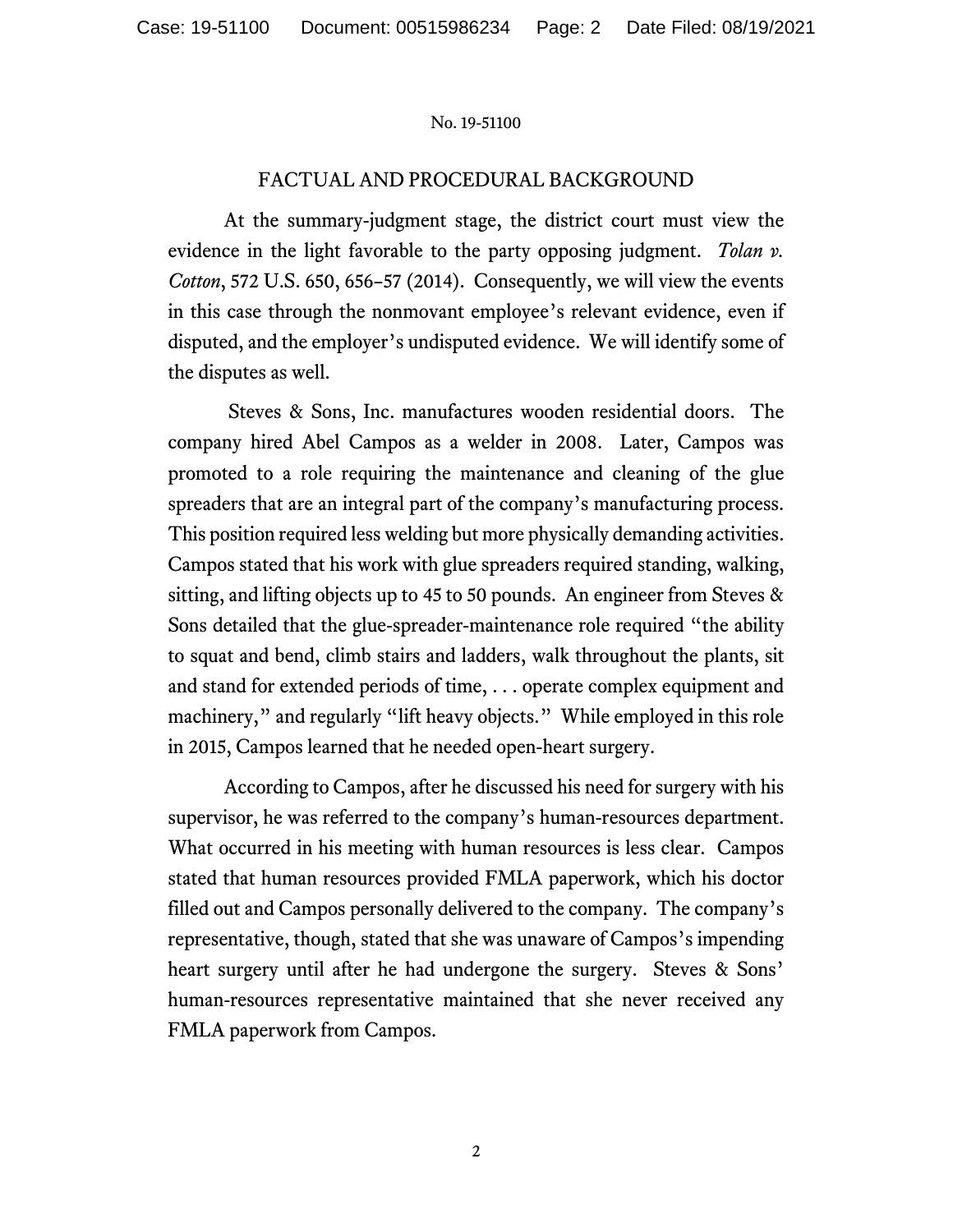## FACTUAL AND PROCEDURAL BACKGROUND

At the summary-judgment stage, the district court must view the evidence in the light favorable to the party opposing judgment. *Tolan v. Cotton*, 572 U.S. 650, 656–57 (2014). Consequently, we will view the events in this case through the nonmovant employee's relevant evidence, even if disputed, and the employer's undisputed evidence. We will identify some of the disputes as well.

Steves & Sons, Inc. manufactures wooden residential doors. The company hired Abel Campos as a welder in 2008. Later, Campos was promoted to a role requiring the maintenance and cleaning of the glue spreaders that are an integral part of the company's manufacturing process. This position required less welding but more physically demanding activities. Campos stated that his work with glue spreaders required standing, walking, sitting, and lifting objects up to 45 to 50 pounds. An engineer from Steves & Sons detailed that the glue-spreader-maintenance role required "the ability to squat and bend, climb stairs and ladders, walk throughout the plants, sit and stand for extended periods of time, . . . operate complex equipment and machinery," and regularly "lift heavy objects." While employed in this role in 2015, Campos learned that he needed open-heart surgery.

According to Campos, after he discussed his need for surgery with his supervisor, he was referred to the company's human-resources department. What occurred in his meeting with human resources is less clear. Campos stated that human resources provided FMLA paperwork, which his doctor filled out and Campos personally delivered to the company. The company's representative, though, stated that she was unaware of Campos's impending heart surgery until after he had undergone the surgery. Steves & Sons' human-resources representative maintained that she never received any FMLA paperwork from Campos.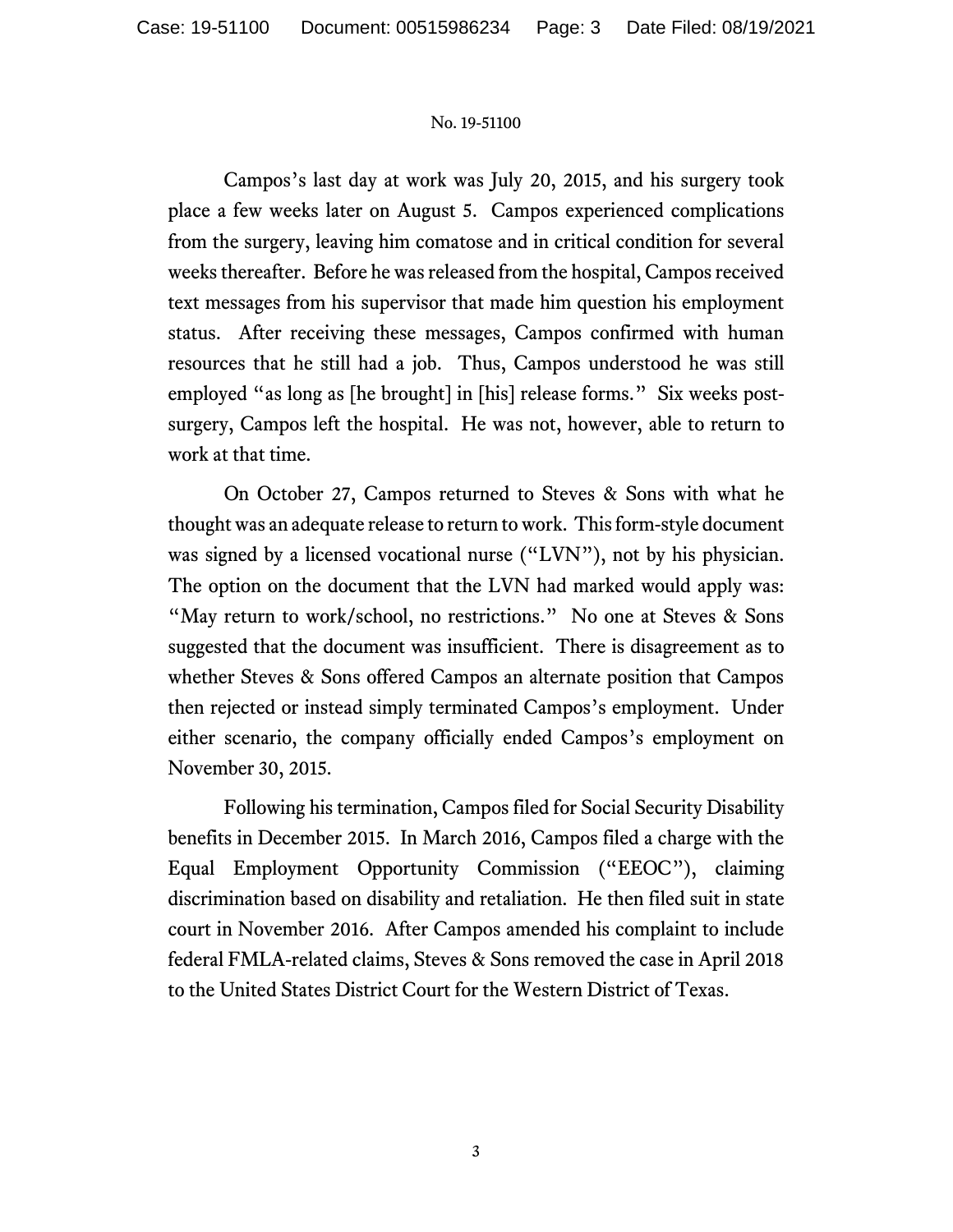Campos's last day at work was July 20, 2015, and his surgery took place a few weeks later on August 5. Campos experienced complications from the surgery, leaving him comatose and in critical condition for several weeks thereafter. Before he was released from the hospital, Campos received text messages from his supervisor that made him question his employment status. After receiving these messages, Campos confirmed with human resources that he still had a job. Thus, Campos understood he was still employed "as long as [he brought] in [his] release forms." Six weeks postsurgery, Campos left the hospital. He was not, however, able to return to work at that time.

On October 27, Campos returned to Steves & Sons with what he thought was an adequate release to return to work. This form-style document was signed by a licensed vocational nurse ("LVN"), not by his physician. The option on the document that the LVN had marked would apply was: "May return to work/school, no restrictions." No one at Steves & Sons suggested that the document was insufficient. There is disagreement as to whether Steves & Sons offered Campos an alternate position that Campos then rejected or instead simply terminated Campos's employment. Under either scenario, the company officially ended Campos's employment on November 30, 2015.

Following his termination, Campos filed for Social Security Disability benefits in December 2015. In March 2016, Campos filed a charge with the Equal Employment Opportunity Commission ("EEOC"), claiming discrimination based on disability and retaliation. He then filed suit in state court in November 2016. After Campos amended his complaint to include federal FMLA-related claims, Steves & Sons removed the case in April 2018 to the United States District Court for the Western District of Texas.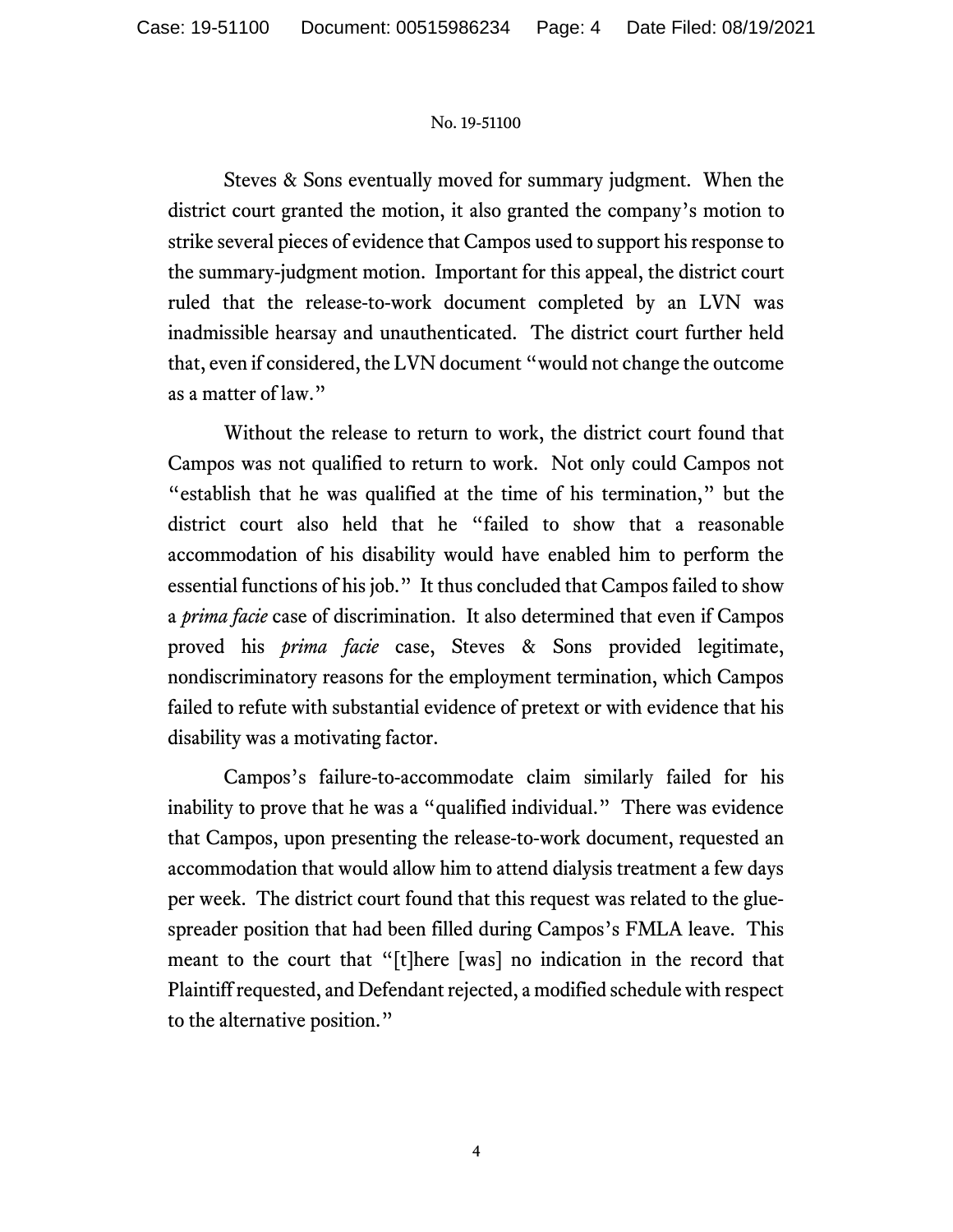Steves & Sons eventually moved for summary judgment. When the district court granted the motion, it also granted the company's motion to strike several pieces of evidence that Campos used to support his response to the summary-judgment motion. Important for this appeal, the district court ruled that the release-to-work document completed by an LVN was inadmissible hearsay and unauthenticated. The district court further held that, even if considered, the LVN document "would not change the outcome as a matter of law."

Without the release to return to work, the district court found that Campos was not qualified to return to work. Not only could Campos not "establish that he was qualified at the time of his termination," but the district court also held that he "failed to show that a reasonable accommodation of his disability would have enabled him to perform the essential functions of his job." It thus concluded that Campos failed to show a *prima facie* case of discrimination. It also determined that even if Campos proved his *prima facie* case, Steves & Sons provided legitimate, nondiscriminatory reasons for the employment termination, which Campos failed to refute with substantial evidence of pretext or with evidence that his disability was a motivating factor.

Campos's failure-to-accommodate claim similarly failed for his inability to prove that he was a "qualified individual." There was evidence that Campos, upon presenting the release-to-work document, requested an accommodation that would allow him to attend dialysis treatment a few days per week. The district court found that this request was related to the gluespreader position that had been filled during Campos's FMLA leave. This meant to the court that "[t]here [was] no indication in the record that Plaintiff requested, and Defendant rejected, a modified schedule with respect to the alternative position."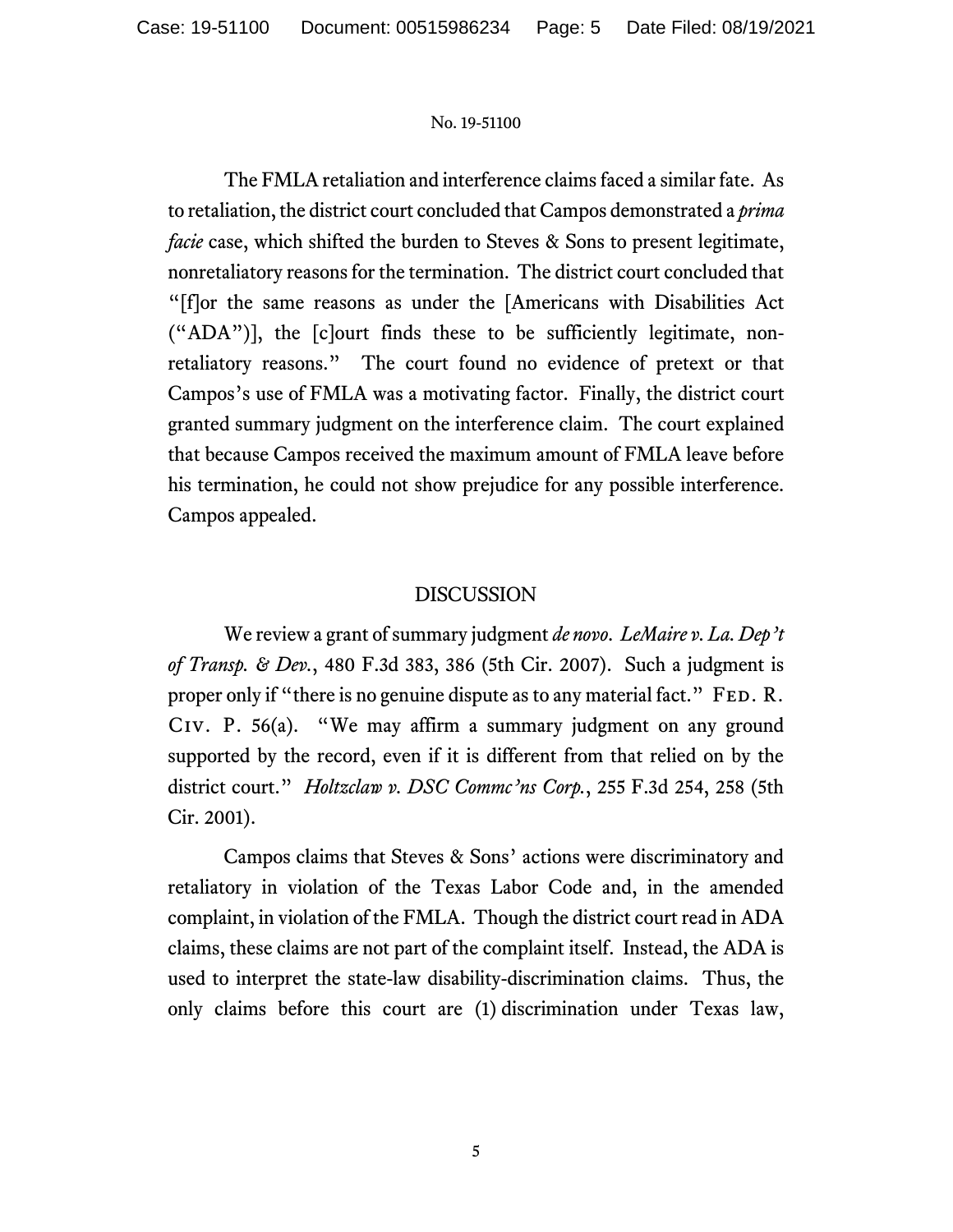The FMLA retaliation and interference claims faced a similar fate. As to retaliation, the district court concluded that Campos demonstrated a *prima facie* case, which shifted the burden to Steves & Sons to present legitimate, nonretaliatory reasons for the termination. The district court concluded that "[f]or the same reasons as under the [Americans with Disabilities Act ("ADA")], the [c]ourt finds these to be sufficiently legitimate, nonretaliatory reasons." The court found no evidence of pretext or that Campos's use of FMLA was a motivating factor. Finally, the district court granted summary judgment on the interference claim. The court explained that because Campos received the maximum amount of FMLA leave before his termination, he could not show prejudice for any possible interference. Campos appealed.

# DISCUSSION

We review a grant of summary judgment *de novo*. *LeMaire v. La. Dep't of Transp. & Dev.*, 480 F.3d 383, 386 (5th Cir. 2007). Such a judgment is proper only if "there is no genuine dispute as to any material fact." FED. R. Civ. P. 56(a). "We may affirm a summary judgment on any ground supported by the record, even if it is different from that relied on by the district court." *Holtzclaw v. DSC Commc'ns Corp.*, 255 F.3d 254, 258 (5th Cir. 2001).

Campos claims that Steves & Sons' actions were discriminatory and retaliatory in violation of the Texas Labor Code and, in the amended complaint, in violation of the FMLA. Though the district court read in ADA claims, these claims are not part of the complaint itself. Instead, the ADA is used to interpret the state-law disability-discrimination claims. Thus, the only claims before this court are (1) discrimination under Texas law,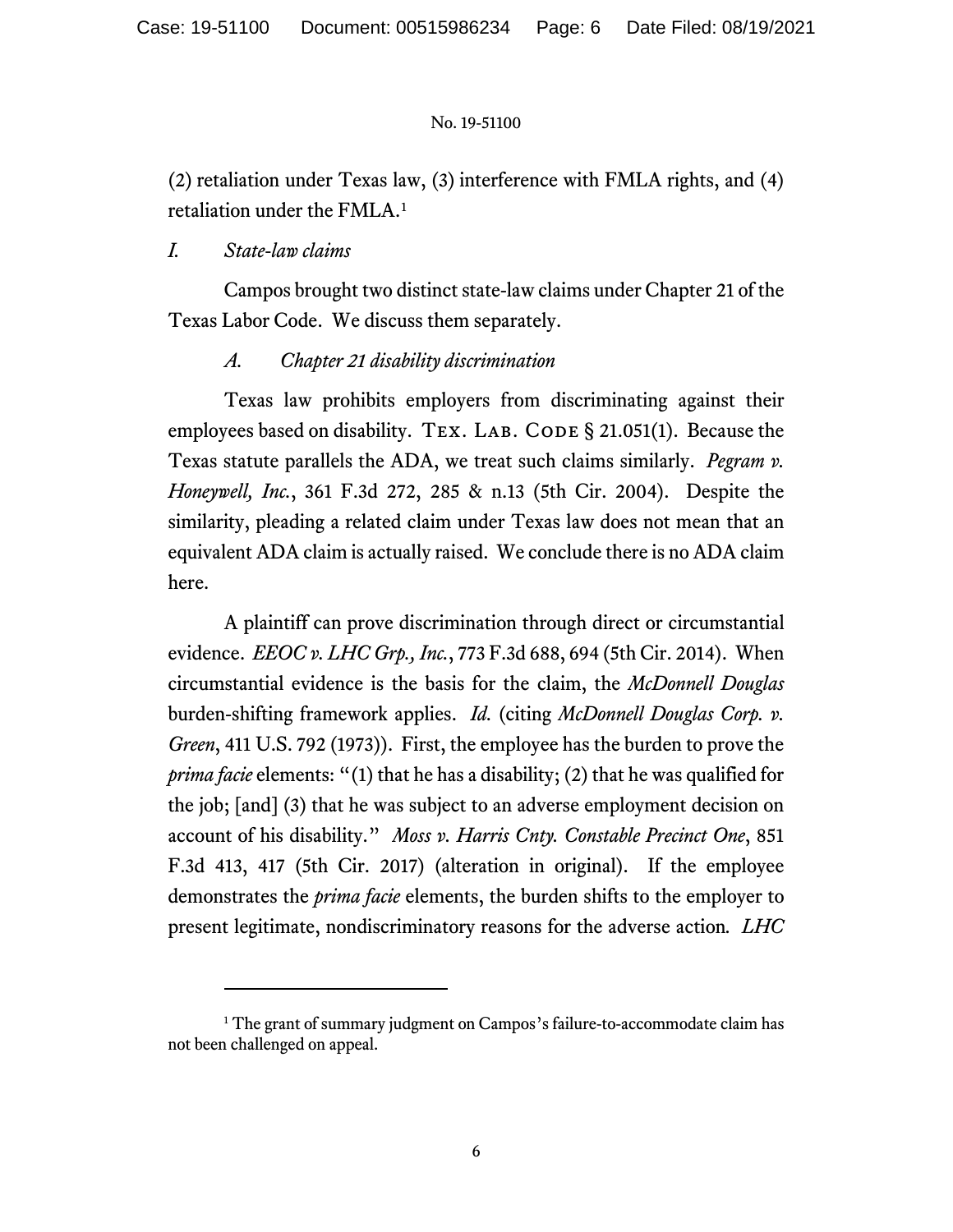(2) retaliation under Texas law, (3) interference with FMLA rights, and (4) retaliation under the FMLA. [1](#page-5-0)

# *I. State-law claims*

Campos brought two distinct state-law claims under Chapter 21 of the Texas Labor Code. We discuss them separately.

# *A. Chapter 21 disability discrimination*

Texas law prohibits employers from discriminating against their employees based on disability. TEX. LAB. CODE § 21.051(1). Because the Texas statute parallels the ADA, we treat such claims similarly. *Pegram v. Honeywell, Inc.*, 361 F.3d 272, 285 & n.13 (5th Cir. 2004). Despite the similarity, pleading a related claim under Texas law does not mean that an equivalent ADA claim is actually raised. We conclude there is no ADA claim here.

A plaintiff can prove discrimination through direct or circumstantial evidence. *EEOC v. LHC Grp., Inc.*, 773 F.3d 688, 694 (5th Cir. 2014). When circumstantial evidence is the basis for the claim, the *McDonnell Douglas* burden-shifting framework applies. *Id.* (citing *McDonnell Douglas Corp. v. Green*, 411 U.S. 792 (1973)). First, the employee has the burden to prove the *prima facie* elements: "(1) that he has a disability; (2) that he was qualified for the job; [and] (3) that he was subject to an adverse employment decision on account of his disability." *Moss v. Harris Cnty. Constable Precinct One*, 851 F.3d 413, 417 (5th Cir. 2017) (alteration in original). If the employee demonstrates the *prima facie* elements, the burden shifts to the employer to present legitimate, nondiscriminatory reasons for the adverse action*. LHC* 

<span id="page-5-0"></span><sup>&</sup>lt;sup>1</sup> The grant of summary judgment on Campos's failure-to-accommodate claim has not been challenged on appeal.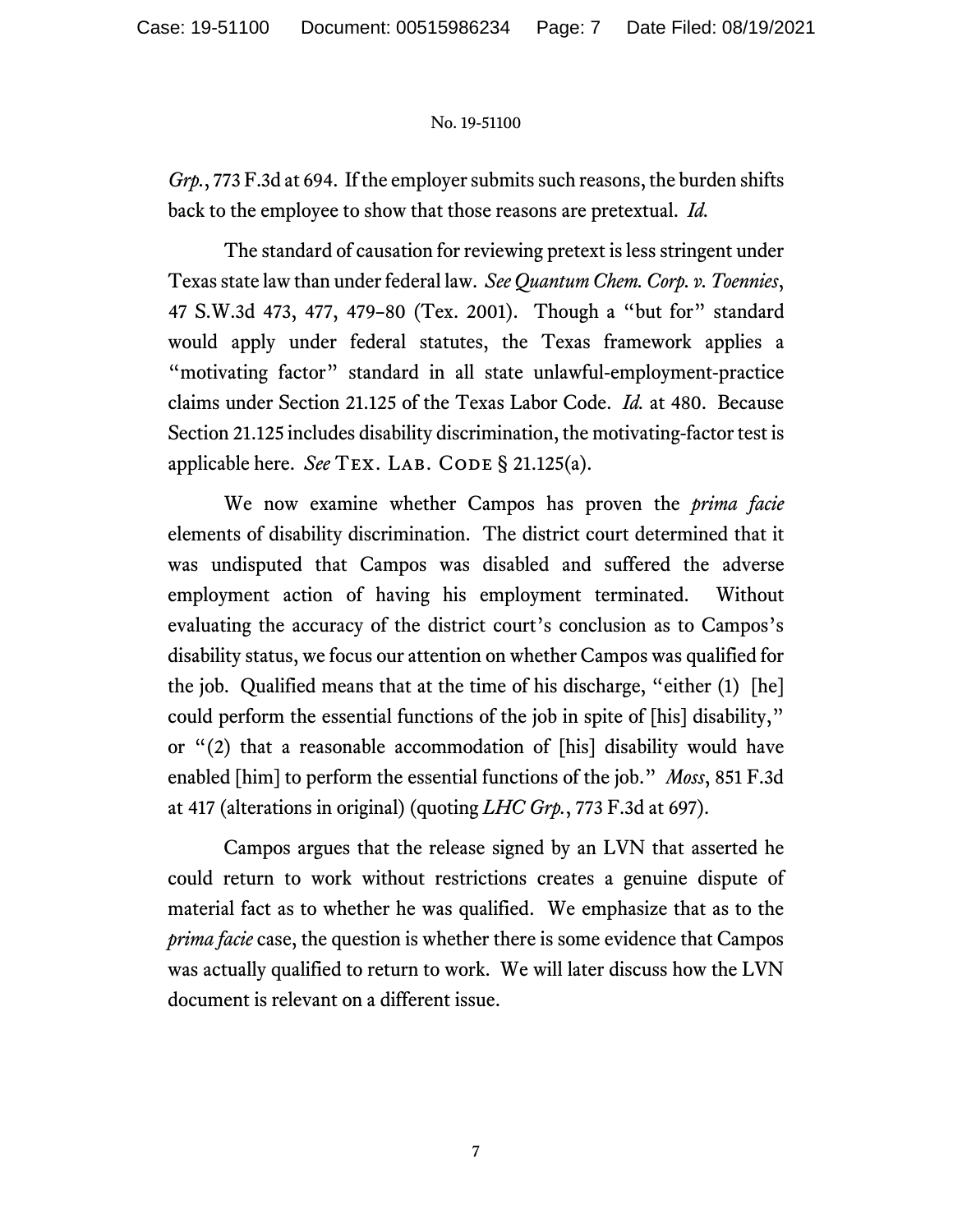*Grp.*, 773 F.3d at 694. If the employer submits such reasons, the burden shifts back to the employee to show that those reasons are pretextual. *Id.* 

The standard of causation for reviewing pretext is less stringent under Texas state law than under federal law. *See Quantum Chem.Corp. v. Toennies*, 47 S.W.3d 473, 477, 479–80 (Tex. 2001). Though a "but for" standard would apply under federal statutes, the Texas framework applies a "motivating factor" standard in all state unlawful-employment-practice claims under Section 21.125 of the Texas Labor Code. *Id.* at 480. Because Section 21.125 includes disability discrimination, the motivating-factor test is applicable here. *See* TEX. LAB. CODE § 21.125(a).

We now examine whether Campos has proven the *prima facie* elements of disability discrimination. The district court determined that it was undisputed that Campos was disabled and suffered the adverse employment action of having his employment terminated. Without evaluating the accuracy of the district court's conclusion as to Campos's disability status, we focus our attention on whether Campos was qualified for the job. Qualified means that at the time of his discharge, "either (1) [he] could perform the essential functions of the job in spite of [his] disability," or "(2) that a reasonable accommodation of [his] disability would have enabled [him] to perform the essential functions of the job." *Moss*, 851 F.3d at 417 (alterations in original) (quoting *LHC Grp.*, 773 F.3d at 697).

Campos argues that the release signed by an LVN that asserted he could return to work without restrictions creates a genuine dispute of material fact as to whether he was qualified. We emphasize that as to the *prima facie* case, the question is whether there is some evidence that Campos was actually qualified to return to work. We will later discuss how the LVN document is relevant on a different issue.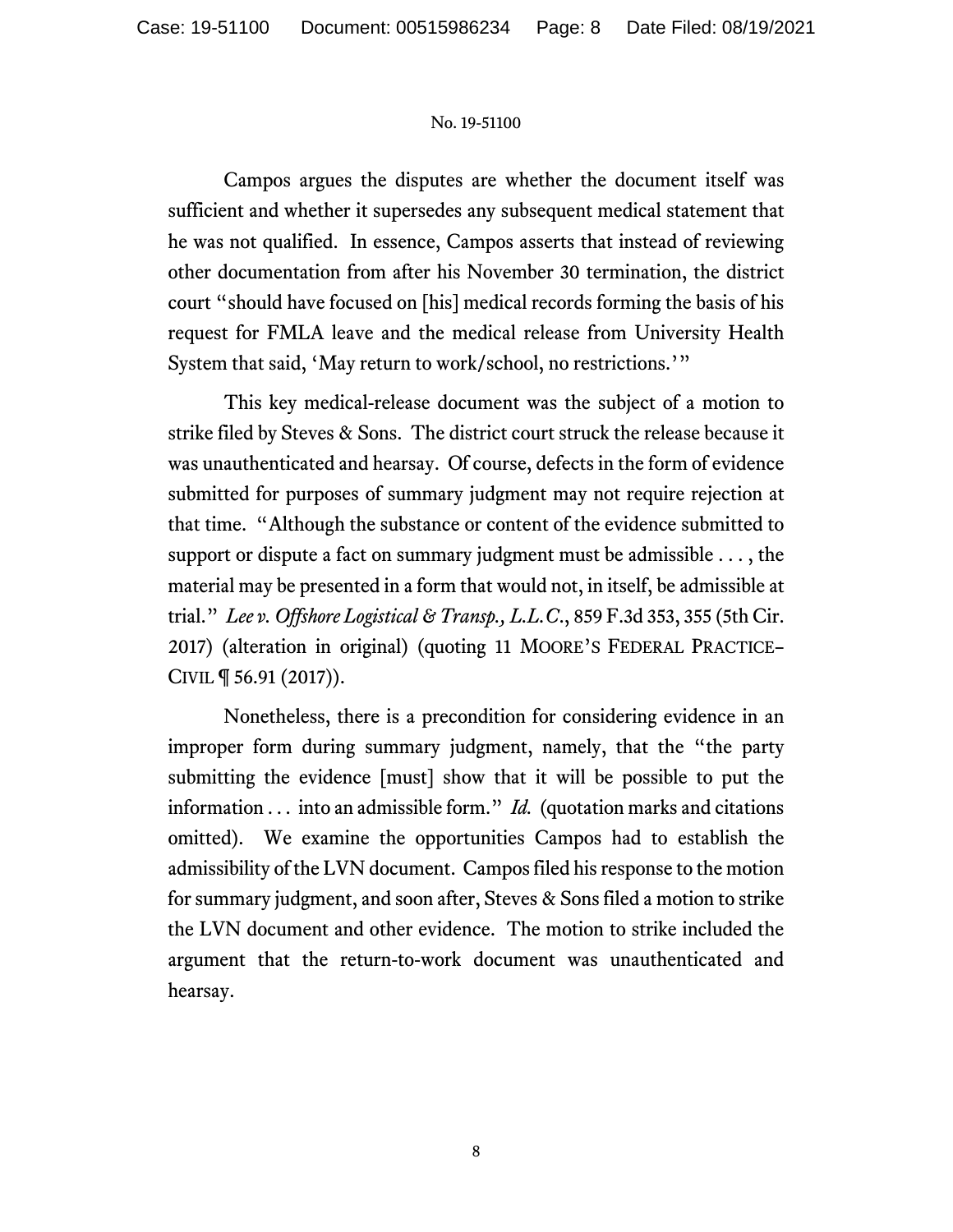Campos argues the disputes are whether the document itself was sufficient and whether it supersedes any subsequent medical statement that he was not qualified. In essence, Campos asserts that instead of reviewing other documentation from after his November 30 termination, the district court "should have focused on [his] medical records forming the basis of his request for FMLA leave and the medical release from University Health System that said, 'May return to work/school, no restrictions.'"

This key medical-release document was the subject of a motion to strike filed by Steves & Sons. The district court struck the release because it was unauthenticated and hearsay. Of course, defects in the form of evidence submitted for purposes of summary judgment may not require rejection at that time. "Although the substance or content of the evidence submitted to support or dispute a fact on summary judgment must be admissible . . . , the material may be presented in a form that would not, in itself, be admissible at trial." *Lee v. Offshore Logistical & Transp., L.L.C*., 859 F.3d 353, 355 (5th Cir. 2017) (alteration in original) (quoting 11 MOORE'S FEDERAL PRACTICE– CIVIL ¶ 56.91 (2017)).

Nonetheless, there is a precondition for considering evidence in an improper form during summary judgment, namely, that the "the party submitting the evidence [must] show that it will be possible to put the information . . . into an admissible form." *Id.* (quotation marks and citations omitted). We examine the opportunities Campos had to establish the admissibility of the LVN document. Campos filed his response to the motion for summary judgment, and soon after, Steves & Sons filed a motion to strike the LVN document and other evidence. The motion to strike included the argument that the return-to-work document was unauthenticated and hearsay.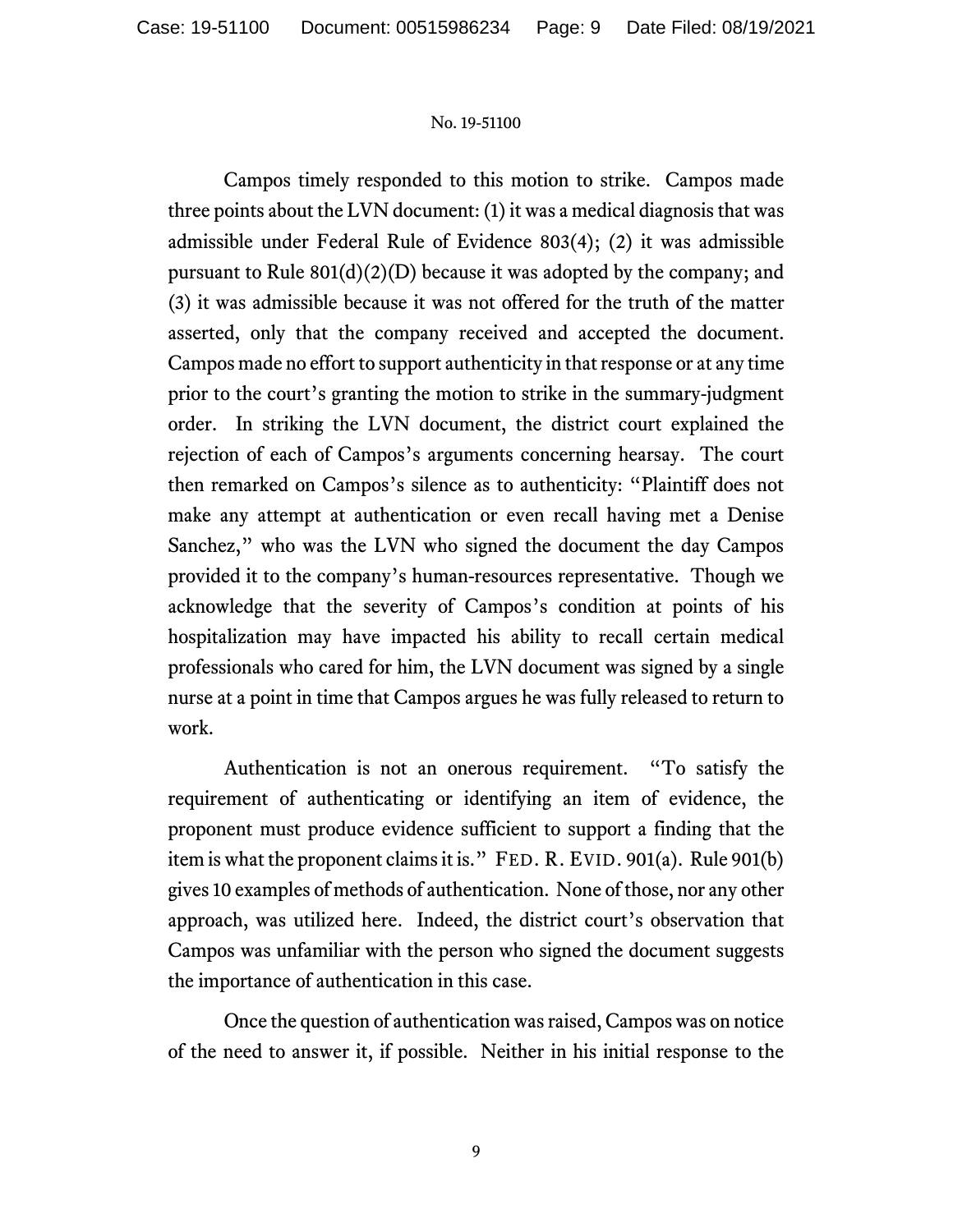Campos timely responded to this motion to strike. Campos made three points about the LVN document: (1) it was a medical diagnosis that was admissible under Federal Rule of Evidence 803(4); (2) it was admissible pursuant to Rule  $801(d)(2)(D)$  because it was adopted by the company; and (3) it was admissible because it was not offered for the truth of the matter asserted, only that the company received and accepted the document. Campos made no effort to support authenticity in that response or at any time prior to the court's granting the motion to strike in the summary-judgment order. In striking the LVN document, the district court explained the rejection of each of Campos's arguments concerning hearsay. The court then remarked on Campos's silence as to authenticity: "Plaintiff does not make any attempt at authentication or even recall having met a Denise Sanchez," who was the LVN who signed the document the day Campos provided it to the company's human-resources representative. Though we acknowledge that the severity of Campos's condition at points of his hospitalization may have impacted his ability to recall certain medical professionals who cared for him, the LVN document was signed by a single nurse at a point in time that Campos argues he was fully released to return to work.

Authentication is not an onerous requirement. "To satisfy the requirement of authenticating or identifying an item of evidence, the proponent must produce evidence sufficient to support a finding that the item is what the proponent claims it is." FED. R. EVID. 901(a). Rule 901(b) gives 10 examples of methods of authentication. None of those, nor any other approach, was utilized here. Indeed, the district court's observation that Campos was unfamiliar with the person who signed the document suggests the importance of authentication in this case.

Once the question of authentication was raised, Campos was on notice of the need to answer it, if possible. Neither in his initial response to the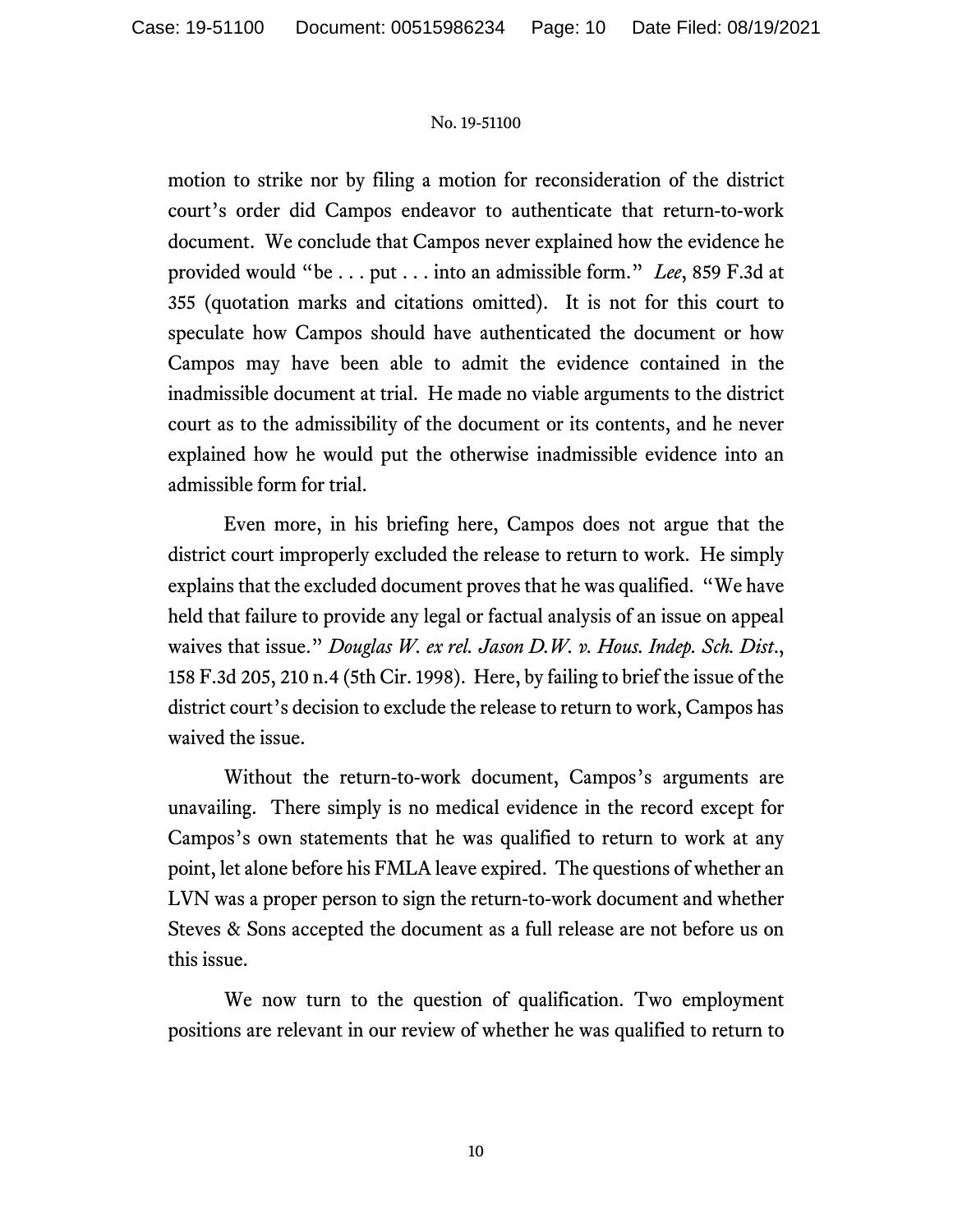motion to strike nor by filing a motion for reconsideration of the district court's order did Campos endeavor to authenticate that return-to-work document. We conclude that Campos never explained how the evidence he provided would "be . . . put . . . into an admissible form." *Lee*, 859 F.3d at 355 (quotation marks and citations omitted). It is not for this court to speculate how Campos should have authenticated the document or how Campos may have been able to admit the evidence contained in the inadmissible document at trial. He made no viable arguments to the district court as to the admissibility of the document or its contents, and he never explained how he would put the otherwise inadmissible evidence into an admissible form for trial.

Even more, in his briefing here, Campos does not argue that the district court improperly excluded the release to return to work. He simply explains that the excluded document proves that he was qualified. "We have held that failure to provide any legal or factual analysis of an issue on appeal waives that issue." *Douglas W. ex rel. Jason D.W. v. Hous. Indep. Sch. Dist*., 158 F.3d 205, 210 n.4 (5th Cir. 1998). Here, by failing to brief the issue of the district court's decision to exclude the release to return to work, Campos has waived the issue.

Without the return-to-work document, Campos's arguments are unavailing. There simply is no medical evidence in the record except for Campos's own statements that he was qualified to return to work at any point, let alone before his FMLA leave expired. The questions of whether an LVN was a proper person to sign the return-to-work document and whether Steves & Sons accepted the document as a full release are not before us on this issue.

We now turn to the question of qualification. Two employment positions are relevant in our review of whether he was qualified to return to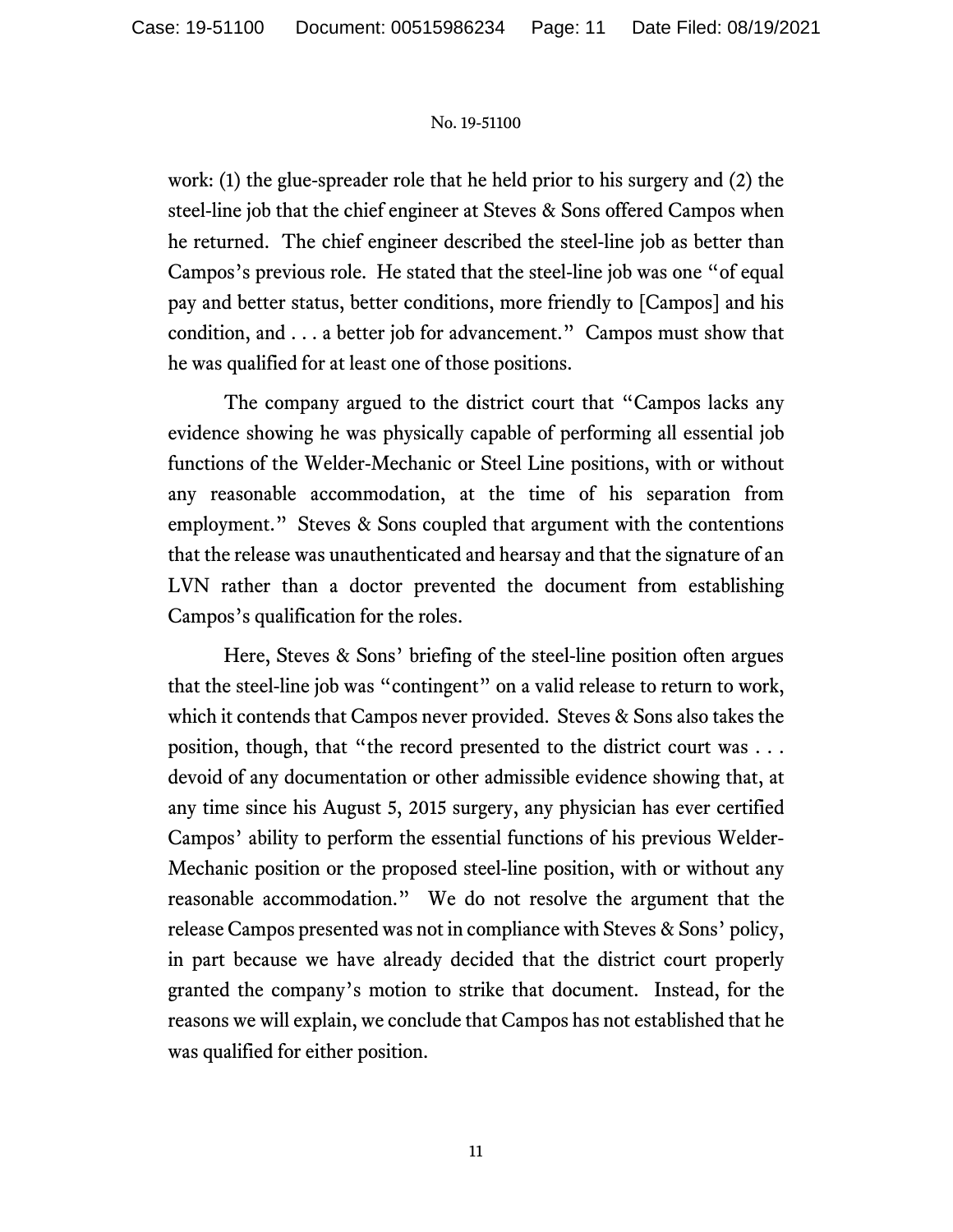work: (1) the glue-spreader role that he held prior to his surgery and (2) the steel-line job that the chief engineer at Steves & Sons offered Campos when he returned. The chief engineer described the steel-line job as better than Campos's previous role. He stated that the steel-line job was one "of equal pay and better status, better conditions, more friendly to [Campos] and his condition, and . . . a better job for advancement." Campos must show that he was qualified for at least one of those positions.

The company argued to the district court that "Campos lacks any evidence showing he was physically capable of performing all essential job functions of the Welder-Mechanic or Steel Line positions, with or without any reasonable accommodation, at the time of his separation from employment." Steves & Sons coupled that argument with the contentions that the release was unauthenticated and hearsay and that the signature of an LVN rather than a doctor prevented the document from establishing Campos's qualification for the roles.

Here, Steves & Sons' briefing of the steel-line position often argues that the steel-line job was "contingent" on a valid release to return to work, which it contends that Campos never provided. Steves & Sons also takes the position, though, that "the record presented to the district court was . . . devoid of any documentation or other admissible evidence showing that, at any time since his August 5, 2015 surgery, any physician has ever certified Campos' ability to perform the essential functions of his previous Welder-Mechanic position or the proposed steel-line position, with or without any reasonable accommodation." We do not resolve the argument that the release Campos presented was not in compliance with Steves & Sons' policy, in part because we have already decided that the district court properly granted the company's motion to strike that document. Instead, for the reasons we will explain, we conclude that Campos has not established that he was qualified for either position.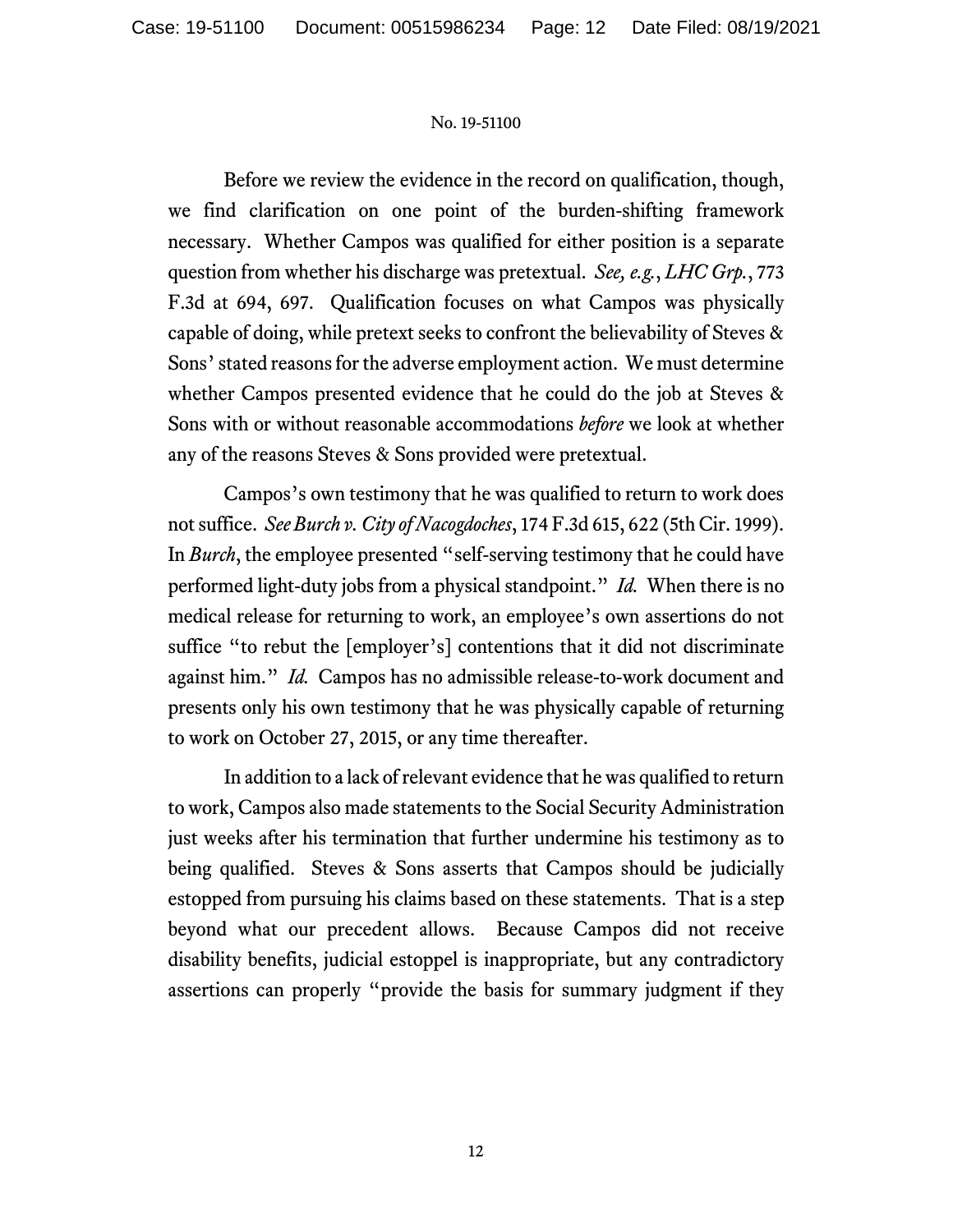Before we review the evidence in the record on qualification, though, we find clarification on one point of the burden-shifting framework necessary. Whether Campos was qualified for either position is a separate question from whether his discharge was pretextual. *See, e.g.*, *LHC Grp.*, 773 F.3d at 694, 697. Qualification focuses on what Campos was physically capable of doing, while pretext seeks to confront the believability of Steves & Sons' stated reasons for the adverse employment action. We must determine whether Campos presented evidence that he could do the job at Steves & Sons with or without reasonable accommodations *before* we look at whether any of the reasons Steves & Sons provided were pretextual.

Campos's own testimony that he was qualified to return to work does not suffice. *See Burch v. City of Nacogdoches*, 174 F.3d 615, 622 (5th Cir. 1999). In *Burch*, the employee presented "self-serving testimony that he could have performed light-duty jobs from a physical standpoint." *Id.* When there is no medical release for returning to work, an employee's own assertions do not suffice "to rebut the [employer's] contentions that it did not discriminate against him." *Id.* Campos has no admissible release-to-work document and presents only his own testimony that he was physically capable of returning to work on October 27, 2015, or any time thereafter.

In addition to a lack of relevant evidence that he was qualified to return to work, Campos also made statements to the Social Security Administration just weeks after his termination that further undermine his testimony as to being qualified. Steves & Sons asserts that Campos should be judicially estopped from pursuing his claims based on these statements. That is a step beyond what our precedent allows. Because Campos did not receive disability benefits, judicial estoppel is inappropriate, but any contradictory assertions can properly "provide the basis for summary judgment if they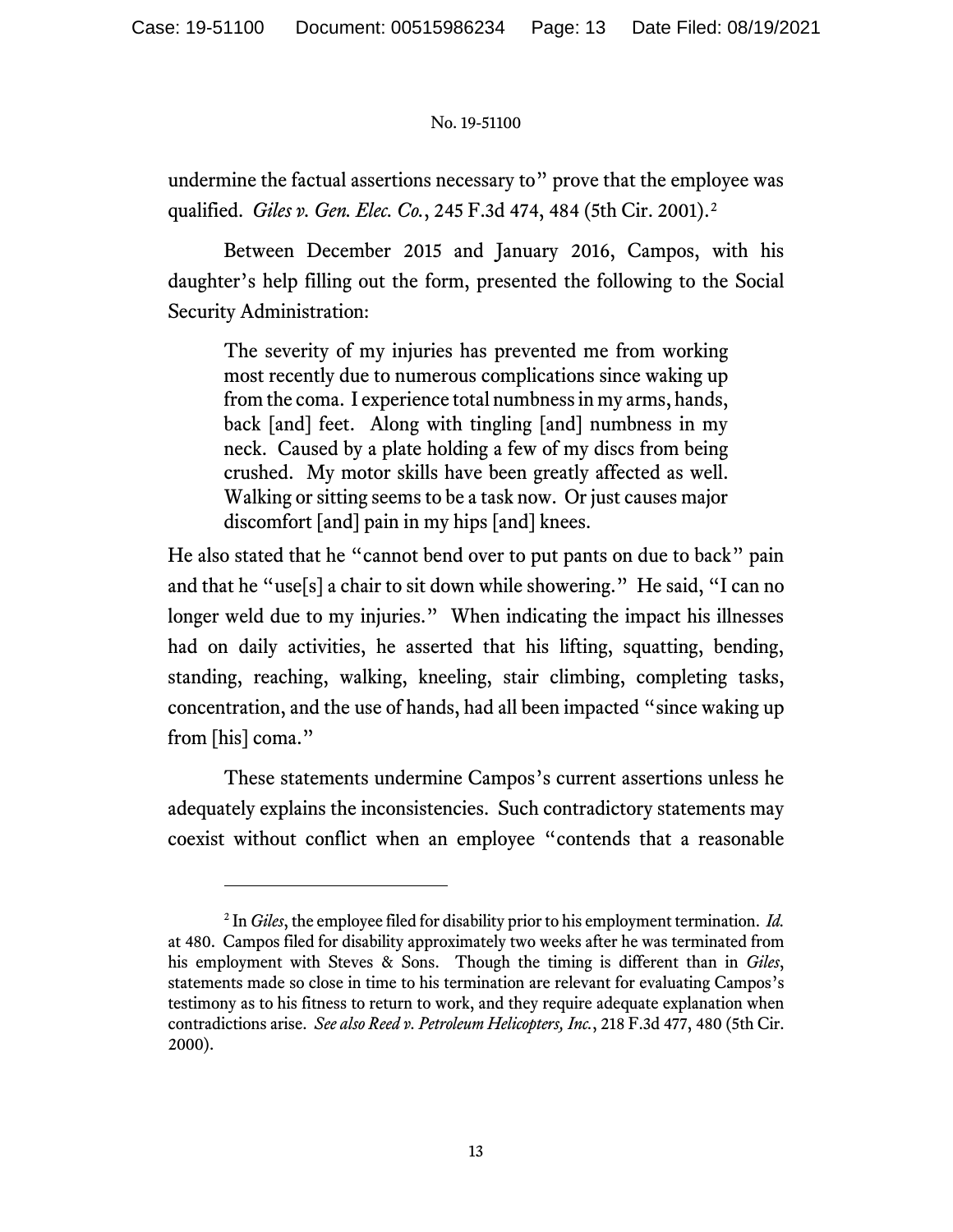undermine the factual assertions necessary to" prove that the employee was qualified. *Giles v. Gen. Elec. Co.*, 245 F.3d 474, 484 (5th Cir. 2001).[2](#page-12-0) 

Between December 2015 and January 2016, Campos, with his daughter's help filling out the form, presented the following to the Social Security Administration:

The severity of my injuries has prevented me from working most recently due to numerous complications since waking up from the coma. I experience total numbness in my arms, hands, back [and] feet. Along with tingling [and] numbness in my neck. Caused by a plate holding a few of my discs from being crushed. My motor skills have been greatly affected as well. Walking or sitting seems to be a task now. Or just causes major discomfort [and] pain in my hips [and] knees.

He also stated that he "cannot bend over to put pants on due to back" pain and that he "use[s] a chair to sit down while showering." He said, "I can no longer weld due to my injuries." When indicating the impact his illnesses had on daily activities, he asserted that his lifting, squatting, bending, standing, reaching, walking, kneeling, stair climbing, completing tasks, concentration, and the use of hands, had all been impacted "since waking up from [his] coma."

These statements undermine Campos's current assertions unless he adequately explains the inconsistencies. Such contradictory statements may coexist without conflict when an employee "contends that a reasonable

<span id="page-12-0"></span><sup>2</sup> In *Giles*, the employee filed for disability prior to his employment termination. *Id.*  at 480. Campos filed for disability approximately two weeks after he was terminated from his employment with Steves & Sons. Though the timing is different than in *Giles*, statements made so close in time to his termination are relevant for evaluating Campos's testimony as to his fitness to return to work, and they require adequate explanation when contradictions arise. *See also Reed v. Petroleum Helicopters, Inc.*, 218 F.3d 477, 480 (5th Cir. 2000).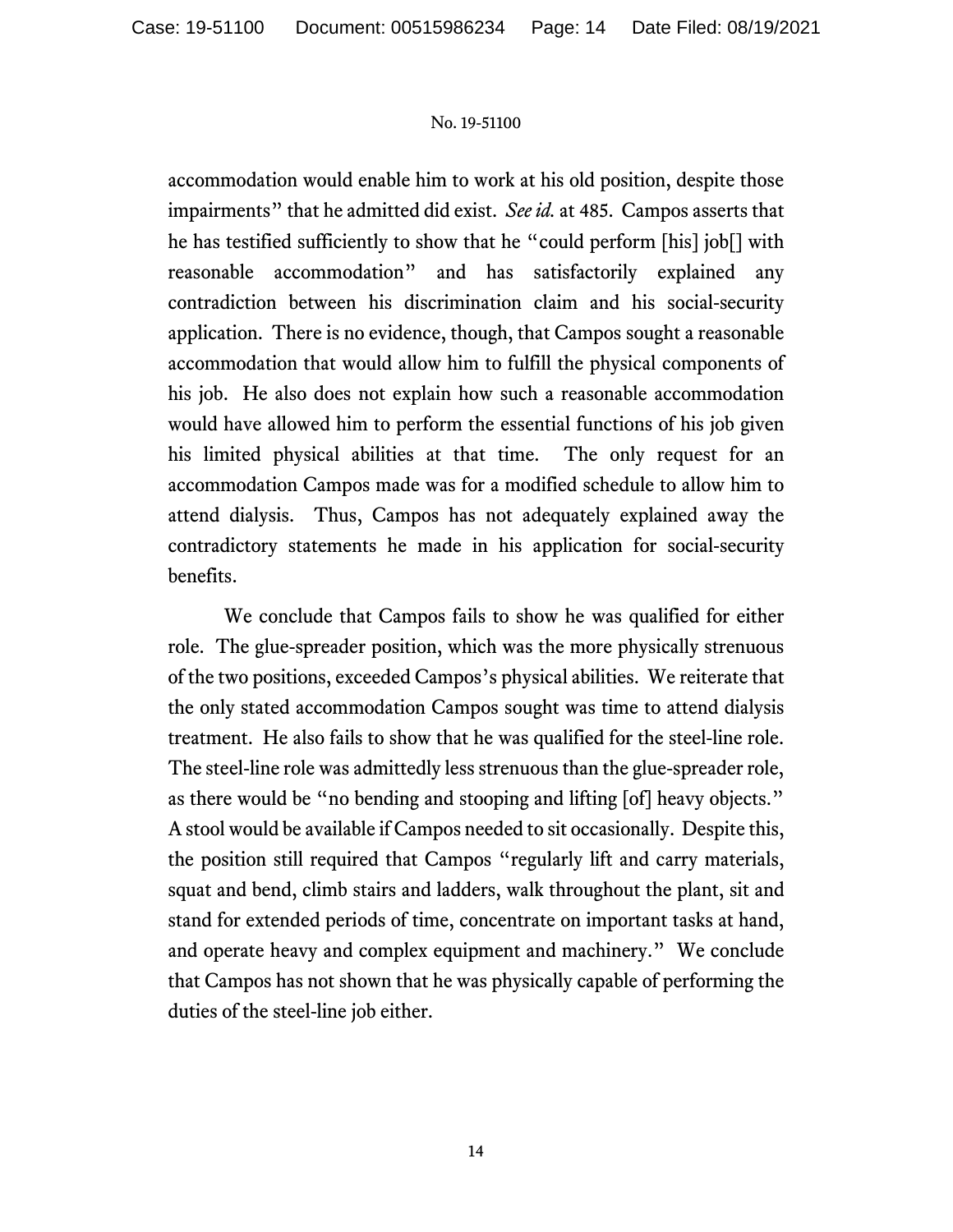accommodation would enable him to work at his old position, despite those impairments" that he admitted did exist. *See id.* at 485. Campos asserts that he has testified sufficiently to show that he "could perform [his] job[] with reasonable accommodation" and has satisfactorily explained any contradiction between his discrimination claim and his social-security application. There is no evidence, though, that Campos sought a reasonable accommodation that would allow him to fulfill the physical components of his job. He also does not explain how such a reasonable accommodation would have allowed him to perform the essential functions of his job given his limited physical abilities at that time. The only request for an accommodation Campos made was for a modified schedule to allow him to attend dialysis. Thus, Campos has not adequately explained away the contradictory statements he made in his application for social-security benefits.

We conclude that Campos fails to show he was qualified for either role. The glue-spreader position, which was the more physically strenuous of the two positions, exceeded Campos's physical abilities. We reiterate that the only stated accommodation Campos sought was time to attend dialysis treatment. He also fails to show that he was qualified for the steel-line role. The steel-line role was admittedly less strenuous than the glue-spreader role, as there would be "no bending and stooping and lifting [of] heavy objects." A stool would be available if Campos needed to sit occasionally. Despite this, the position still required that Campos "regularly lift and carry materials, squat and bend, climb stairs and ladders, walk throughout the plant, sit and stand for extended periods of time, concentrate on important tasks at hand, and operate heavy and complex equipment and machinery." We conclude that Campos has not shown that he was physically capable of performing the duties of the steel-line job either.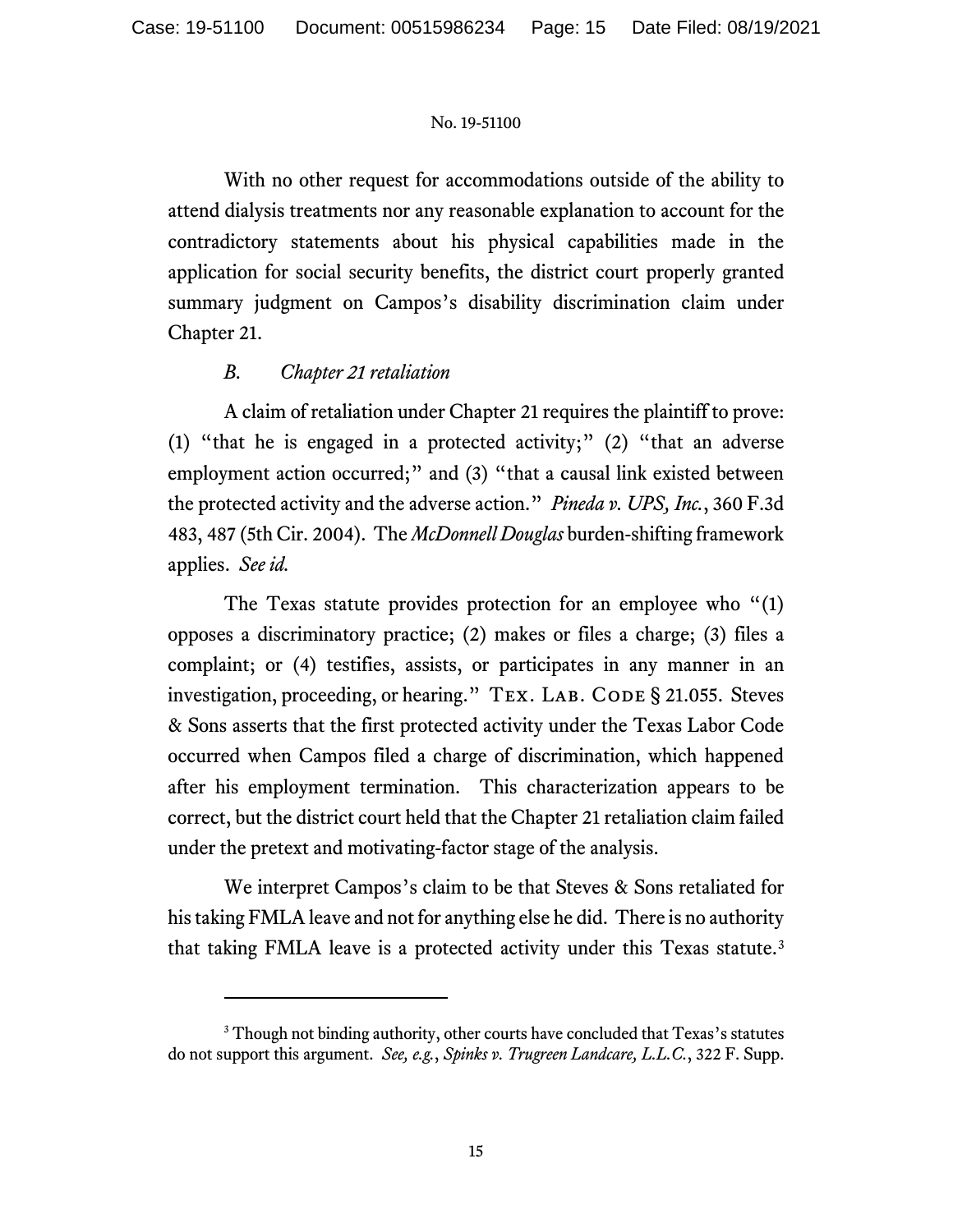With no other request for accommodations outside of the ability to attend dialysis treatments nor any reasonable explanation to account for the contradictory statements about his physical capabilities made in the application for social security benefits, the district court properly granted summary judgment on Campos's disability discrimination claim under Chapter 21.

# *B. Chapter 21 retaliation*

A claim of retaliation under Chapter 21 requires the plaintiff to prove: (1) "that he is engaged in a protected activity;" (2) "that an adverse employment action occurred;" and (3) "that a causal link existed between the protected activity and the adverse action." *Pineda v. UPS, Inc.*, 360 F.3d 483, 487 (5th Cir. 2004). The *McDonnell Douglas* burden-shifting framework applies. *See id.*

The Texas statute provides protection for an employee who "(1) opposes a discriminatory practice; (2) makes or files a charge; (3) files a complaint; or (4) testifies, assists, or participates in any manner in an investigation, proceeding, or hearing." TEX. LAB. CODE § 21.055. Steves & Sons asserts that the first protected activity under the Texas Labor Code occurred when Campos filed a charge of discrimination, which happened after his employment termination. This characterization appears to be correct, but the district court held that the Chapter 21 retaliation claim failed under the pretext and motivating-factor stage of the analysis.

We interpret Campos's claim to be that Steves & Sons retaliated for his taking FMLA leave and not for anything else he did. There is no authority that taking FMLA leave is a protected activity under this Texas statute. [3](#page-14-0)

<span id="page-14-0"></span><sup>&</sup>lt;sup>3</sup> Though not binding authority, other courts have concluded that Texas's statutes do not support this argument. *See, e.g.*, *Spinks v. Trugreen Landcare, L.L.C.*, 322 F. Supp.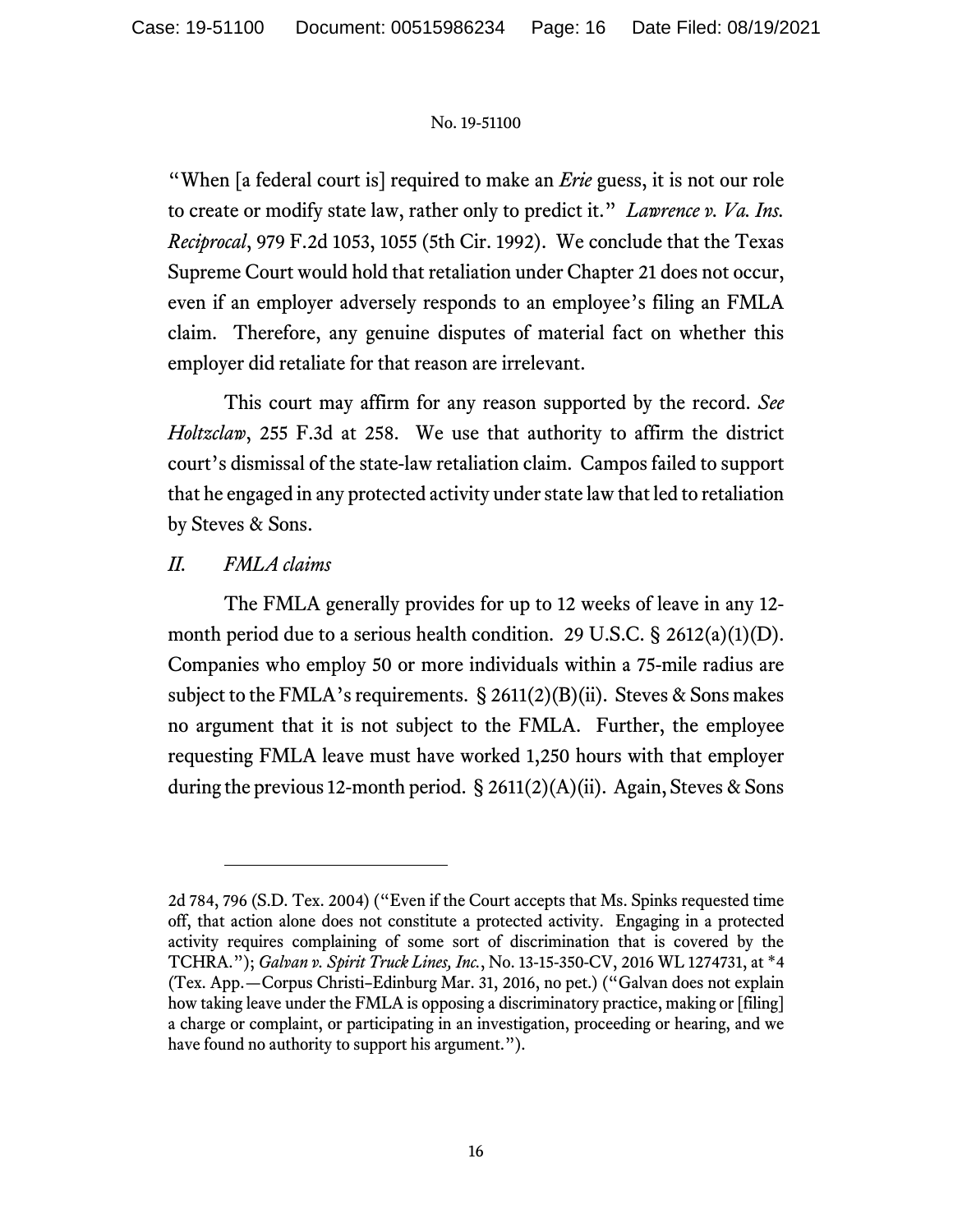"When [a federal court is] required to make an *Erie* guess, it is not our role to create or modify state law, rather only to predict it." *Lawrence v. Va. Ins. Reciprocal*, 979 F.2d 1053, 1055 (5th Cir. 1992). We conclude that the Texas Supreme Court would hold that retaliation under Chapter 21 does not occur, even if an employer adversely responds to an employee's filing an FMLA claim. Therefore, any genuine disputes of material fact on whether this employer did retaliate for that reason are irrelevant.

This court may affirm for any reason supported by the record. *See Holtzclaw*, 255 F.3d at 258. We use that authority to affirm the district court's dismissal of the state-law retaliation claim. Campos failed to support that he engaged in any protected activity under state law that led to retaliation by Steves & Sons.

### *II. FMLA claims*

The FMLA generally provides for up to 12 weeks of leave in any 12 month period due to a serious health condition. 29 U.S.C. § 2612(a)(1)(D). Companies who employ 50 or more individuals within a 75-mile radius are subject to the FMLA's requirements.  $\S 2611(2)(B)(ii)$ . Steves & Sons makes no argument that it is not subject to the FMLA. Further, the employee requesting FMLA leave must have worked 1,250 hours with that employer during the previous 12-month period. § 2611(2)(A)(ii). Again, Steves & Sons

<sup>2</sup>d 784, 796 (S.D. Tex. 2004) ("Even if the Court accepts that Ms. Spinks requested time off, that action alone does not constitute a protected activity. Engaging in a protected activity requires complaining of some sort of discrimination that is covered by the TCHRA."); *Galvan v. Spirit Truck Lines, Inc.*, No. 13-15-350-CV, 2016 WL 1274731, at \*4 (Tex. App.—Corpus Christi–Edinburg Mar. 31, 2016, no pet.) ("Galvan does not explain how taking leave under the FMLA is opposing a discriminatory practice, making or [filing] a charge or complaint, or participating in an investigation, proceeding or hearing, and we have found no authority to support his argument.").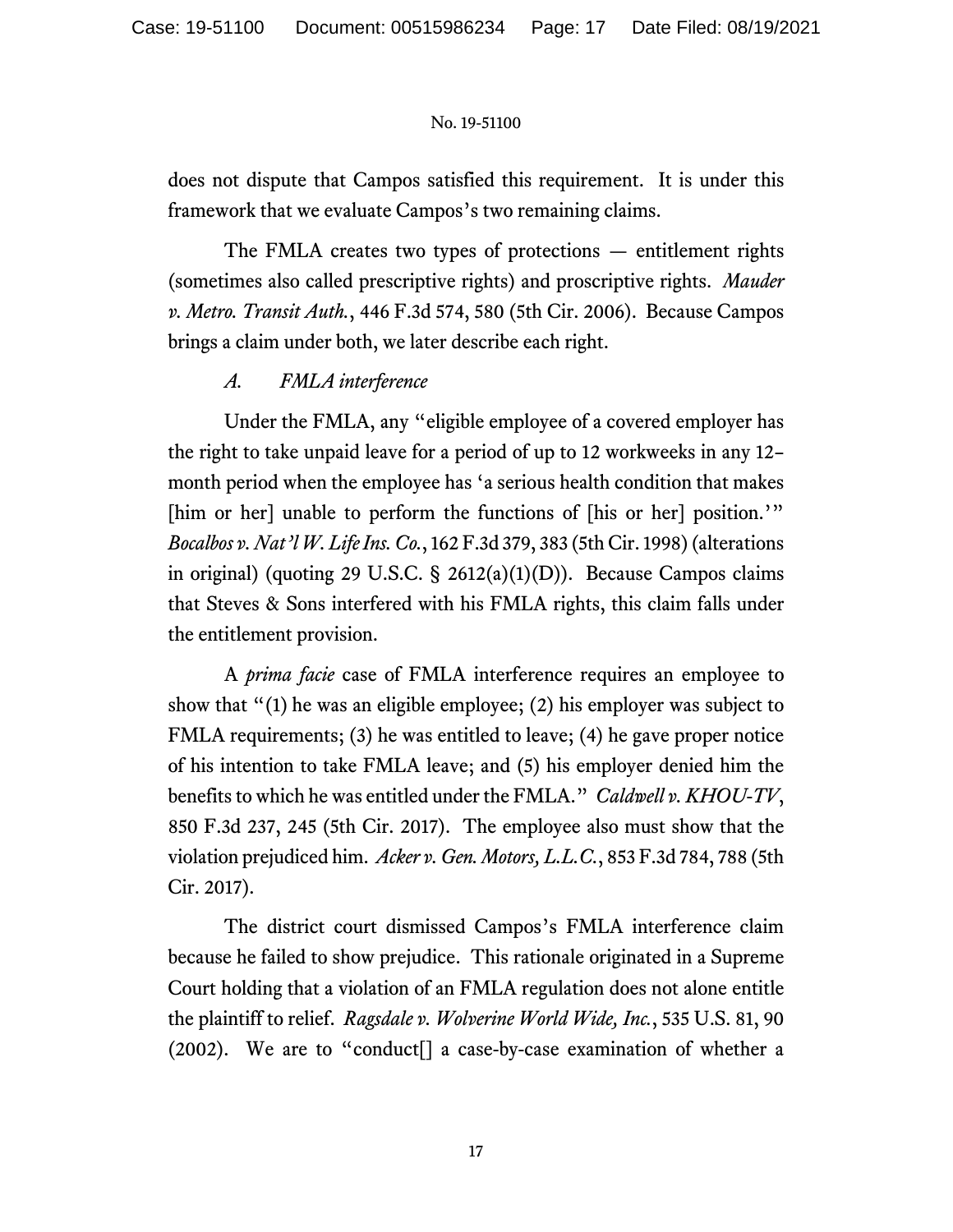does not dispute that Campos satisfied this requirement. It is under this framework that we evaluate Campos's two remaining claims.

The FMLA creates two types of protections — entitlement rights (sometimes also called prescriptive rights) and proscriptive rights. *Mauder v. Metro. Transit Auth.*, 446 F.3d 574, 580 (5th Cir. 2006). Because Campos brings a claim under both, we later describe each right.

# *A. FMLA interference*

Under the FMLA, any "eligible employee of a covered employer has the right to take unpaid leave for a period of up to 12 workweeks in any 12– month period when the employee has 'a serious health condition that makes [him or her] unable to perform the functions of [his or her] position.'" *Bocalbos v. Nat'l W. Life Ins. Co.*, 162 F.3d 379, 383 (5th Cir. 1998)(alterations in original) (quoting 29 U.S.C.  $\S$  2612(a)(1)(D)). Because Campos claims that Steves & Sons interfered with his FMLA rights, this claim falls under the entitlement provision.

A *prima facie* case of FMLA interference requires an employee to show that "(1) he was an eligible employee; (2) his employer was subject to FMLA requirements; (3) he was entitled to leave; (4) he gave proper notice of his intention to take FMLA leave; and (5) his employer denied him the benefits to which he was entitled under the FMLA." *Caldwell v. KHOU-TV*, 850 F.3d 237, 245 (5th Cir. 2017). The employee also must show that the violation prejudiced him. *Acker v. Gen. Motors, L.L.C.*, 853 F.3d 784, 788 (5th Cir. 2017).

The district court dismissed Campos's FMLA interference claim because he failed to show prejudice. This rationale originated in a Supreme Court holding that a violation of an FMLA regulation does not alone entitle the plaintiff to relief. *Ragsdale v. Wolverine World Wide, Inc.*, 535 U.S. 81, 90 (2002). We are to "conduct[] a case-by-case examination of whether a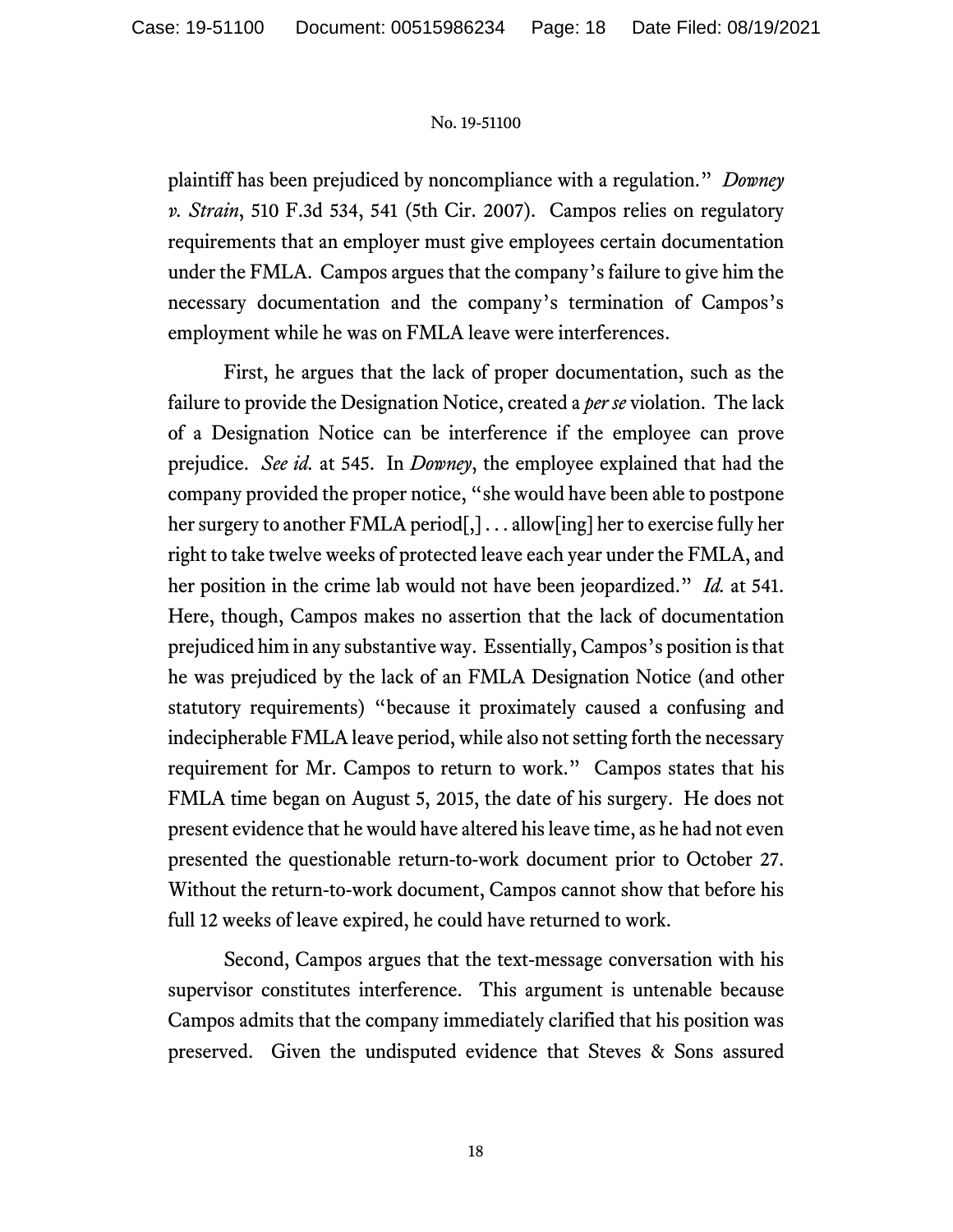plaintiff has been prejudiced by noncompliance with a regulation." *Downey v. Strain*, 510 F.3d 534, 541 (5th Cir. 2007). Campos relies on regulatory requirements that an employer must give employees certain documentation under the FMLA. Campos argues that the company's failure to give him the necessary documentation and the company's termination of Campos's employment while he was on FMLA leave were interferences.

First, he argues that the lack of proper documentation, such as the failure to provide the Designation Notice, created a *per se* violation. The lack of a Designation Notice can be interference if the employee can prove prejudice. *See id.* at 545. In *Downey*, the employee explained that had the company provided the proper notice, "she would have been able to postpone her surgery to another FMLA period[,] . . . allow[ing] her to exercise fully her right to take twelve weeks of protected leave each year under the FMLA, and her position in the crime lab would not have been jeopardized." *Id.* at 541. Here, though, Campos makes no assertion that the lack of documentation prejudiced him in any substantive way. Essentially, Campos's position is that he was prejudiced by the lack of an FMLA Designation Notice (and other statutory requirements) "because it proximately caused a confusing and indecipherable FMLA leave period, while also not setting forth the necessary requirement for Mr. Campos to return to work." Campos states that his FMLA time began on August 5, 2015, the date of his surgery. He does not present evidence that he would have altered his leave time, as he had not even presented the questionable return-to-work document prior to October 27. Without the return-to-work document, Campos cannot show that before his full 12 weeks of leave expired, he could have returned to work.

Second, Campos argues that the text-message conversation with his supervisor constitutes interference. This argument is untenable because Campos admits that the company immediately clarified that his position was preserved. Given the undisputed evidence that Steves & Sons assured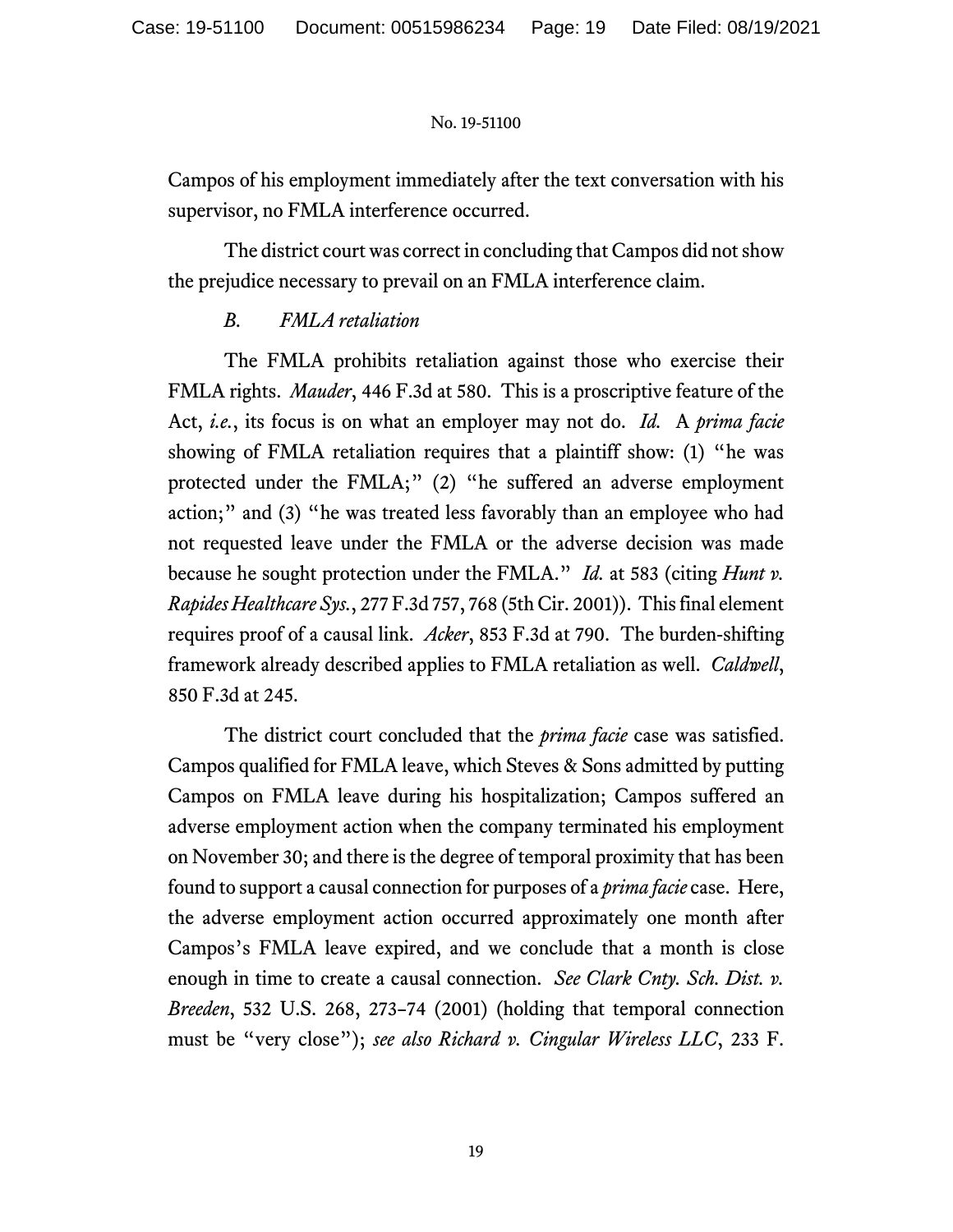Campos of his employment immediately after the text conversation with his supervisor, no FMLA interference occurred.

The district court was correct in concluding that Campos did not show the prejudice necessary to prevail on an FMLA interference claim.

# *B. FMLA retaliation*

The FMLA prohibits retaliation against those who exercise their FMLA rights. *Mauder*, 446 F.3d at 580. This is a proscriptive feature of the Act, *i.e.*, its focus is on what an employer may not do. *Id.* A *prima facie*  showing of FMLA retaliation requires that a plaintiff show: (1) "he was protected under the FMLA;" (2) "he suffered an adverse employment action;" and (3) "he was treated less favorably than an employee who had not requested leave under the FMLA or the adverse decision was made because he sought protection under the FMLA." *Id.* at 583 (citing *Hunt v. Rapides Healthcare Sys.*, 277 F.3d 757, 768 (5th Cir. 2001)). This final element requires proof of a causal link. *Acker*, 853 F.3d at 790. The burden-shifting framework already described applies to FMLA retaliation as well. *Caldwell*, 850 F.3d at 245.

The district court concluded that the *prima facie* case was satisfied. Campos qualified for FMLA leave, which Steves & Sons admitted by putting Campos on FMLA leave during his hospitalization; Campos suffered an adverse employment action when the company terminated his employment on November 30; and there is the degree of temporal proximity that has been found to support a causal connection for purposes of a *prima facie* case. Here, the adverse employment action occurred approximately one month after Campos's FMLA leave expired, and we conclude that a month is close enough in time to create a causal connection. *See Clark Cnty. Sch. Dist. v. Breeden*, 532 U.S. 268, 273–74 (2001) (holding that temporal connection must be "very close"); *see also Richard v. Cingular Wireless LLC*, 233 F.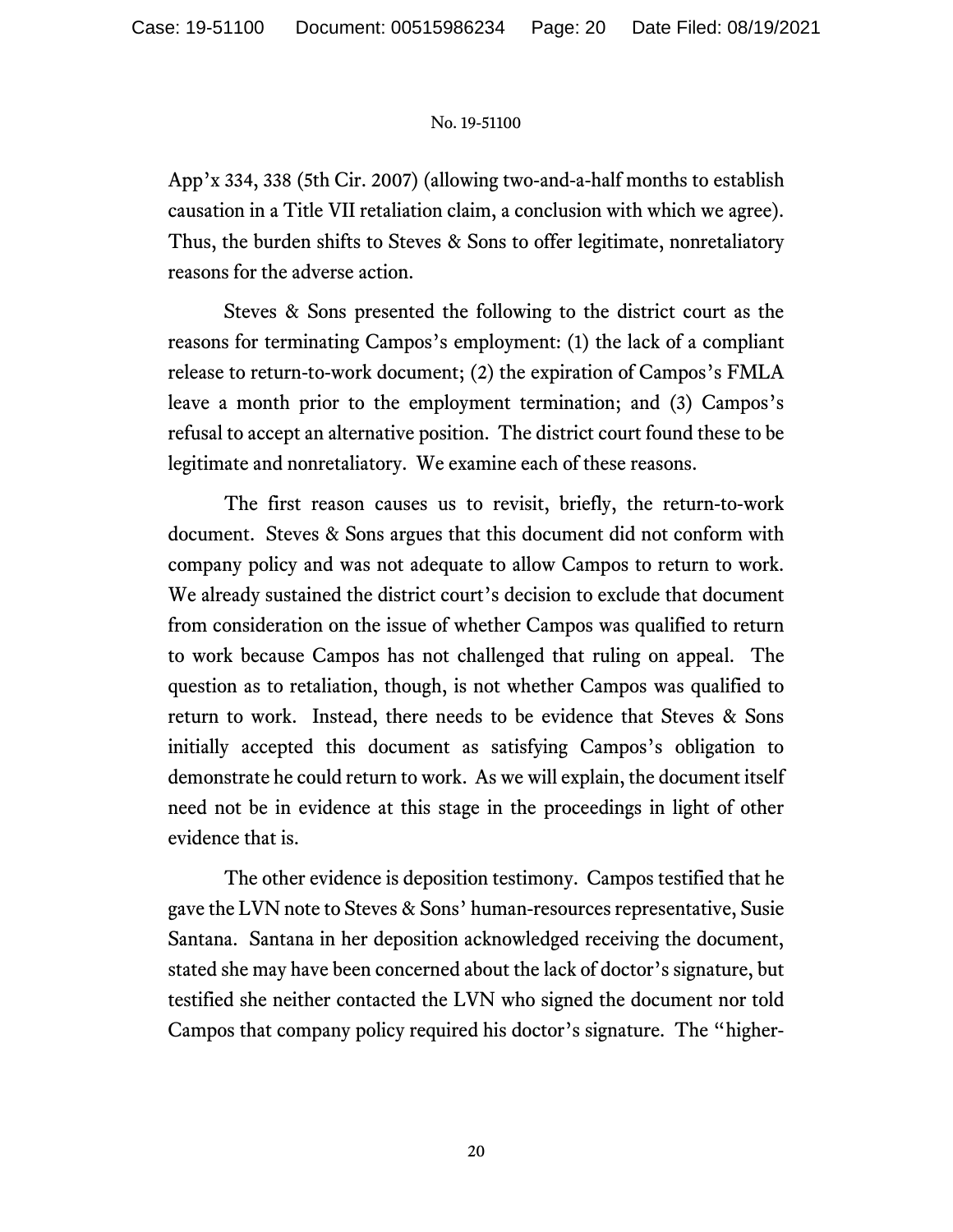App'x 334, 338 (5th Cir. 2007) (allowing two-and-a-half months to establish causation in a Title VII retaliation claim, a conclusion with which we agree). Thus, the burden shifts to Steves & Sons to offer legitimate, nonretaliatory reasons for the adverse action.

Steves & Sons presented the following to the district court as the reasons for terminating Campos's employment: (1) the lack of a compliant release to return-to-work document; (2) the expiration of Campos's FMLA leave a month prior to the employment termination; and (3) Campos's refusal to accept an alternative position. The district court found these to be legitimate and nonretaliatory. We examine each of these reasons.

The first reason causes us to revisit, briefly, the return-to-work document. Steves & Sons argues that this document did not conform with company policy and was not adequate to allow Campos to return to work. We already sustained the district court's decision to exclude that document from consideration on the issue of whether Campos was qualified to return to work because Campos has not challenged that ruling on appeal. The question as to retaliation, though, is not whether Campos was qualified to return to work. Instead, there needs to be evidence that Steves & Sons initially accepted this document as satisfying Campos's obligation to demonstrate he could return to work. As we will explain, the document itself need not be in evidence at this stage in the proceedings in light of other evidence that is.

The other evidence is deposition testimony. Campos testified that he gave the LVN note to Steves & Sons' human-resources representative, Susie Santana. Santana in her deposition acknowledged receiving the document, stated she may have been concerned about the lack of doctor's signature, but testified she neither contacted the LVN who signed the document nor told Campos that company policy required his doctor's signature. The "higher-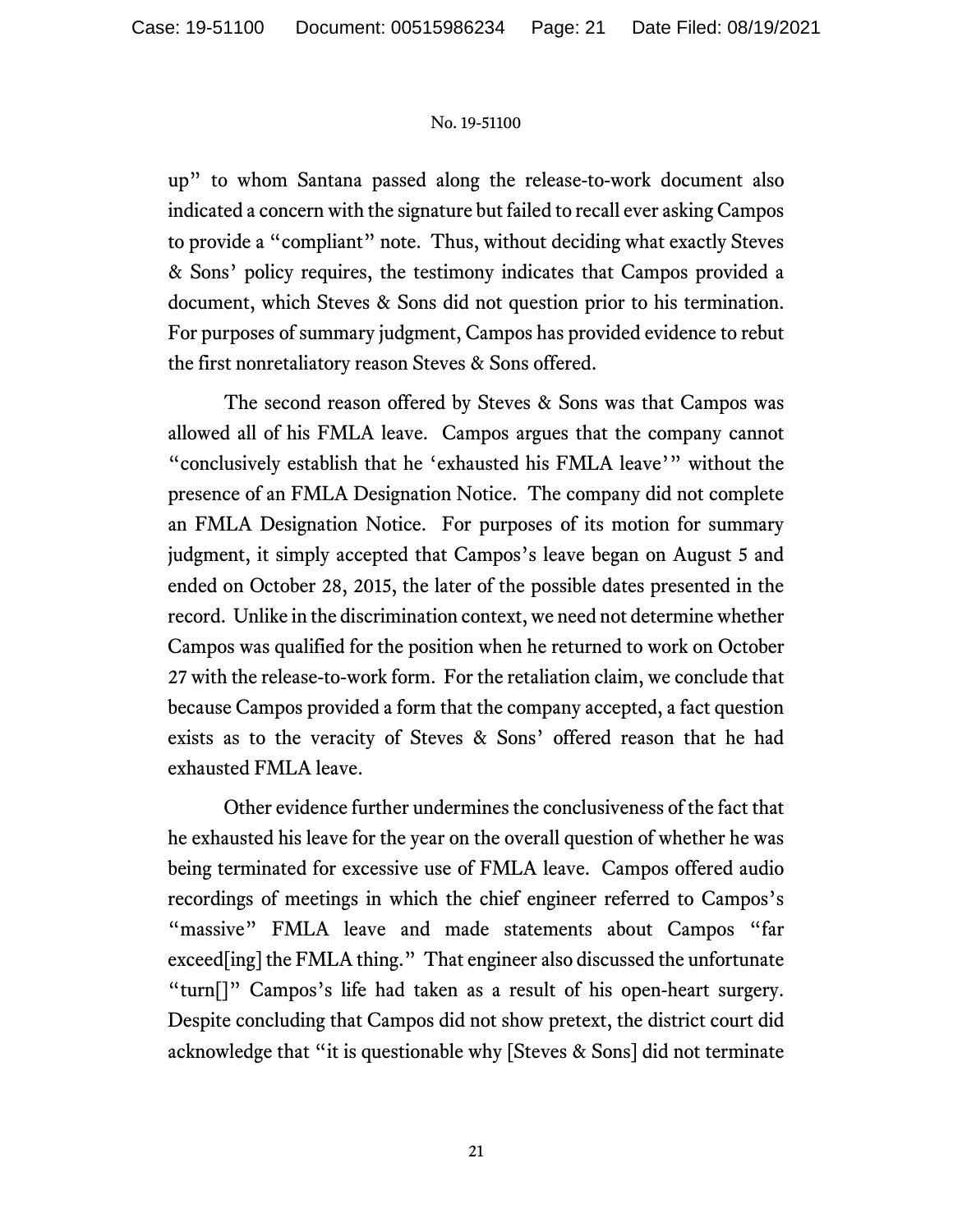up" to whom Santana passed along the release-to-work document also indicated a concern with the signature but failed to recall ever asking Campos to provide a "compliant" note. Thus, without deciding what exactly Steves & Sons' policy requires, the testimony indicates that Campos provided a document, which Steves & Sons did not question prior to his termination. For purposes of summary judgment, Campos has provided evidence to rebut the first nonretaliatory reason Steves & Sons offered.

The second reason offered by Steves & Sons was that Campos was allowed all of his FMLA leave. Campos argues that the company cannot "conclusively establish that he 'exhausted his FMLA leave'" without the presence of an FMLA Designation Notice. The company did not complete an FMLA Designation Notice. For purposes of its motion for summary judgment, it simply accepted that Campos's leave began on August 5 and ended on October 28, 2015, the later of the possible dates presented in the record. Unlike in the discrimination context, we need not determine whether Campos was qualified for the position when he returned to work on October 27 with the release-to-work form. For the retaliation claim, we conclude that because Campos provided a form that the company accepted, a fact question exists as to the veracity of Steves & Sons' offered reason that he had exhausted FMLA leave.

Other evidence further undermines the conclusiveness of the fact that he exhausted his leave for the year on the overall question of whether he was being terminated for excessive use of FMLA leave. Campos offered audio recordings of meetings in which the chief engineer referred to Campos's "massive" FMLA leave and made statements about Campos "far exceed[ing] the FMLA thing." That engineer also discussed the unfortunate "turn[]" Campos's life had taken as a result of his open-heart surgery. Despite concluding that Campos did not show pretext, the district court did acknowledge that "it is questionable why [Steves & Sons] did not terminate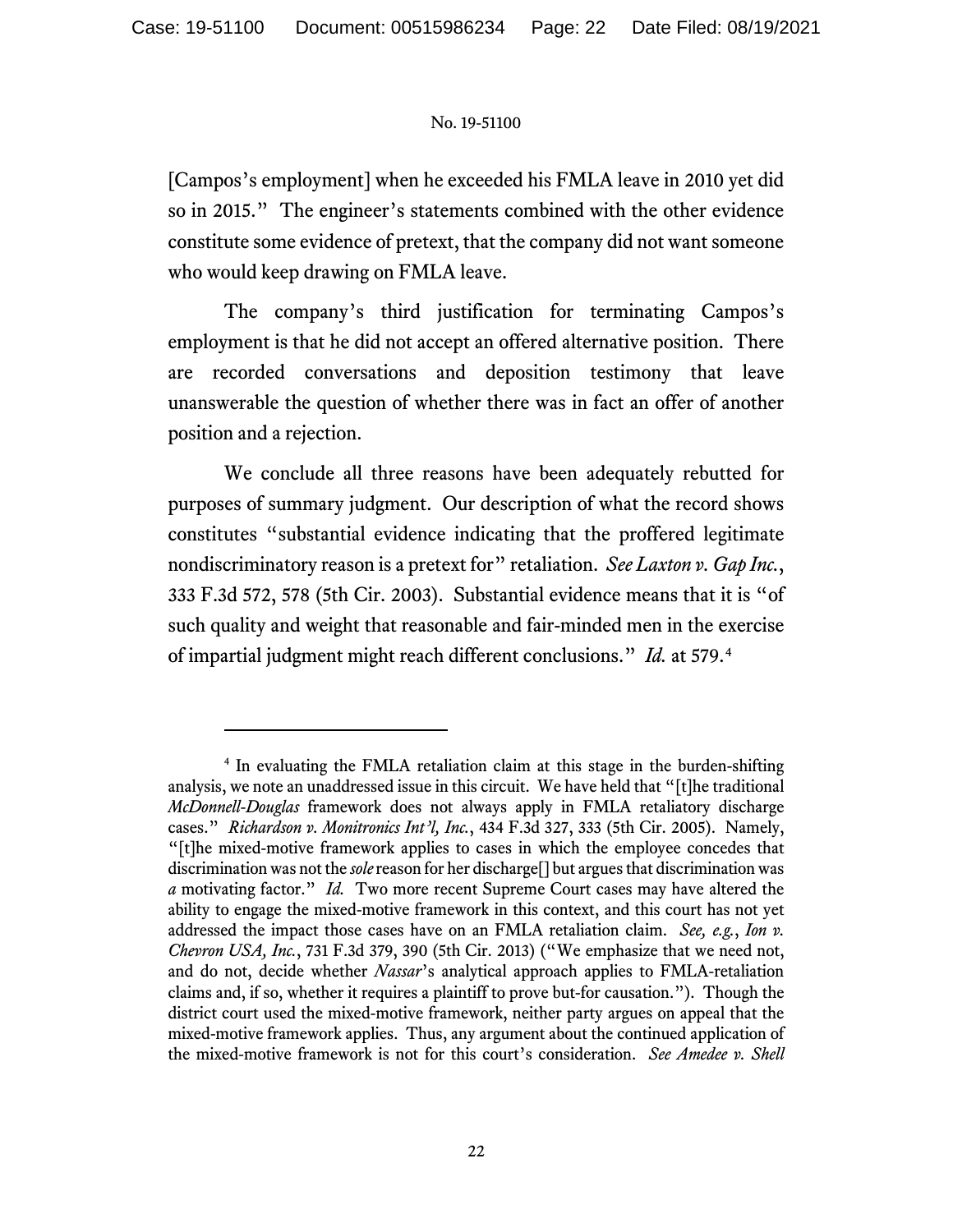[Campos's employment] when he exceeded his FMLA leave in 2010 yet did so in 2015." The engineer's statements combined with the other evidence constitute some evidence of pretext, that the company did not want someone who would keep drawing on FMLA leave.

The company's third justification for terminating Campos's employment is that he did not accept an offered alternative position. There are recorded conversations and deposition testimony that leave unanswerable the question of whether there was in fact an offer of another position and a rejection.

We conclude all three reasons have been adequately rebutted for purposes of summary judgment. Our description of what the record shows constitutes "substantial evidence indicating that the proffered legitimate nondiscriminatory reason is a pretext for" retaliation. *See Laxton v. Gap Inc.*, 333 F.3d 572, 578 (5th Cir. 2003). Substantial evidence means that it is "of such quality and weight that reasonable and fair-minded men in the exercise of impartial judgment might reach different conclusions." *Id.* at 579.[4](#page-21-0)

<span id="page-21-0"></span><sup>4</sup> In evaluating the FMLA retaliation claim at this stage in the burden-shifting analysis, we note an unaddressed issue in this circuit. We have held that "[t]he traditional *McDonnell-Douglas* framework does not always apply in FMLA retaliatory discharge cases." *Richardson v. Monitronics Int'l, Inc.*, 434 F.3d 327, 333 (5th Cir. 2005). Namely, "[t]he mixed-motive framework applies to cases in which the employee concedes that discrimination was not the *sole* reason for her discharge[] but argues that discrimination was *a* motivating factor." *Id.* Two more recent Supreme Court cases may have altered the ability to engage the mixed-motive framework in this context, and this court has not yet addressed the impact those cases have on an FMLA retaliation claim. *See, e.g.*, *Ion v. Chevron USA, Inc.*, 731 F.3d 379, 390 (5th Cir. 2013) ("We emphasize that we need not, and do not, decide whether *Nassar*'s analytical approach applies to FMLA-retaliation claims and, if so, whether it requires a plaintiff to prove but-for causation."). Though the district court used the mixed-motive framework, neither party argues on appeal that the mixed-motive framework applies. Thus, any argument about the continued application of the mixed-motive framework is not for this court's consideration. *See Amedee v. Shell*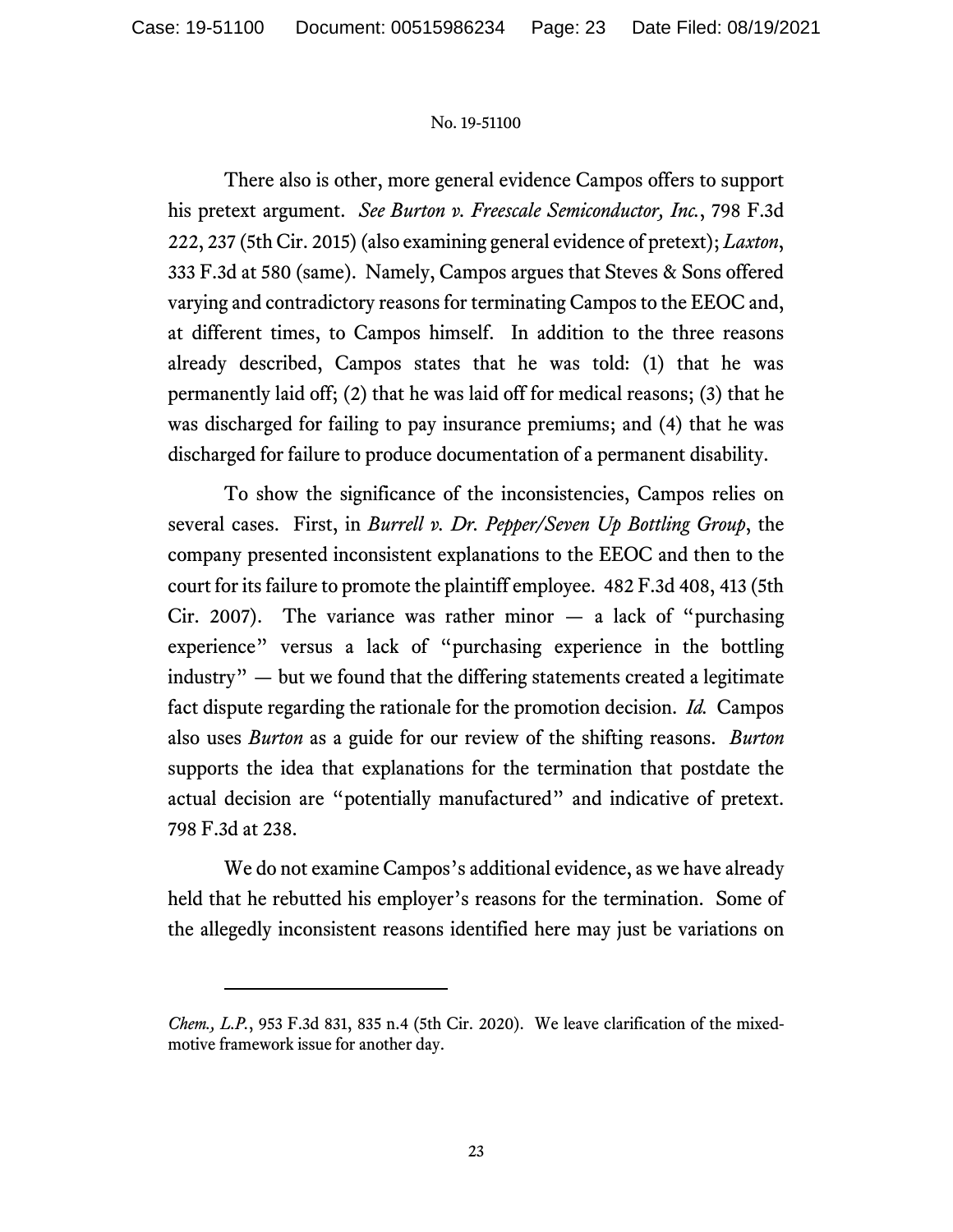There also is other, more general evidence Campos offers to support his pretext argument. *See Burton v. Freescale Semiconductor, Inc.*, 798 F.3d 222, 237 (5th Cir. 2015) (also examining general evidence of pretext); *Laxton*, 333 F.3d at 580 (same). Namely, Campos argues that Steves & Sons offered varying and contradictory reasons for terminating Campos to the EEOC and, at different times, to Campos himself. In addition to the three reasons already described, Campos states that he was told: (1) that he was permanently laid off; (2) that he was laid off for medical reasons; (3) that he was discharged for failing to pay insurance premiums; and (4) that he was discharged for failure to produce documentation of a permanent disability.

To show the significance of the inconsistencies, Campos relies on several cases. First, in *Burrell v. Dr. Pepper/Seven Up Bottling Group*, the company presented inconsistent explanations to the EEOC and then to the court for its failure to promote the plaintiff employee. 482 F.3d 408, 413 (5th Cir. 2007). The variance was rather minor  $-$  a lack of "purchasing experience" versus a lack of "purchasing experience in the bottling industry" — but we found that the differing statements created a legitimate fact dispute regarding the rationale for the promotion decision. *Id.* Campos also uses *Burton* as a guide for our review of the shifting reasons. *Burton* supports the idea that explanations for the termination that postdate the actual decision are "potentially manufactured" and indicative of pretext. 798 F.3d at 238.

We do not examine Campos's additional evidence, as we have already held that he rebutted his employer's reasons for the termination. Some of the allegedly inconsistent reasons identified here may just be variations on

*Chem., L.P.*, 953 F.3d 831, 835 n.4 (5th Cir. 2020). We leave clarification of the mixedmotive framework issue for another day.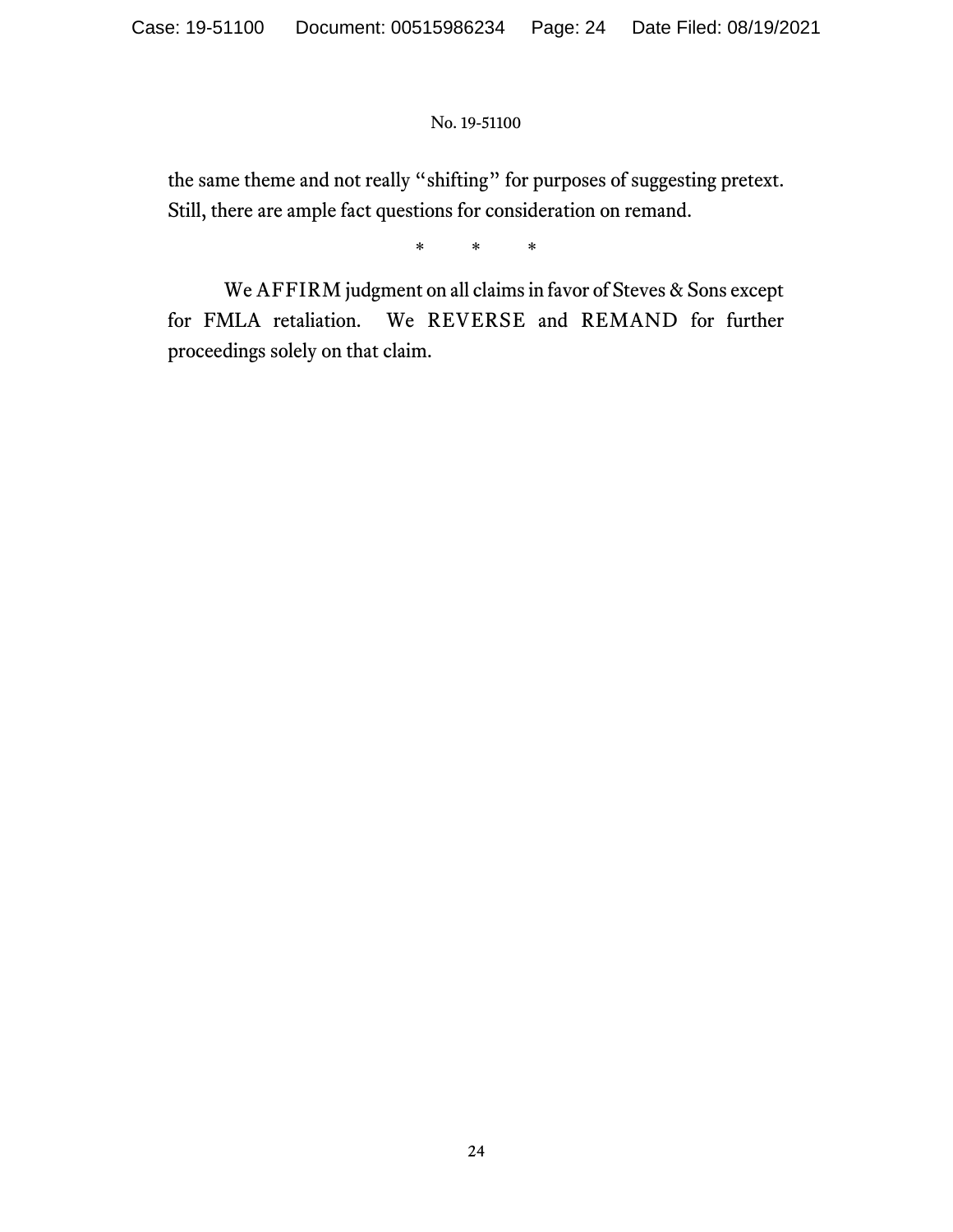the same theme and not really "shifting" for purposes of suggesting pretext. Still, there are ample fact questions for consideration on remand.

\* \* \*

We AFFIRM judgment on all claims in favor of Steves & Sons except for FMLA retaliation. We REVERSE and REMAND for further proceedings solely on that claim.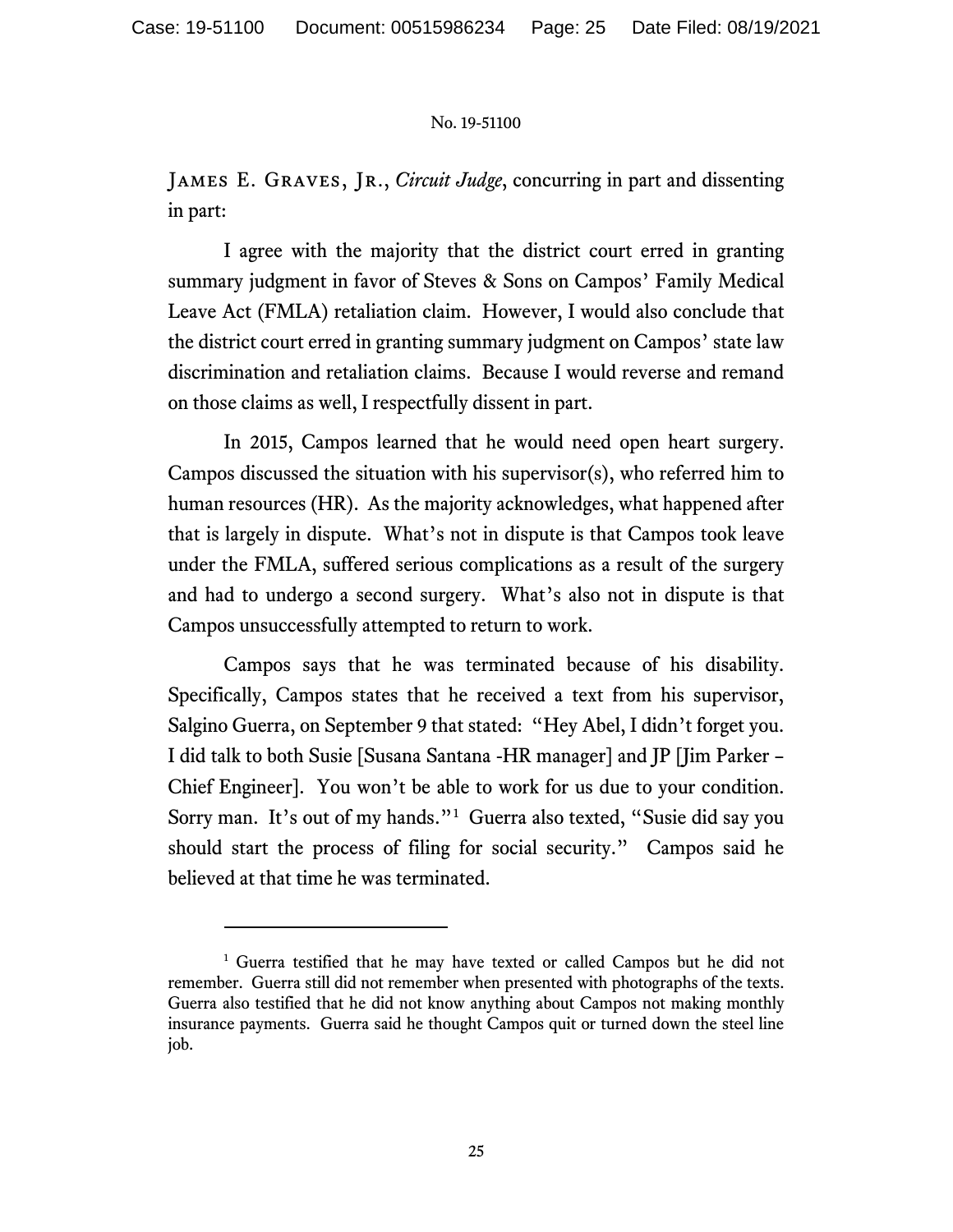JAMES E. GRAVES, JR., *Circuit Judge*, concurring in part and dissenting in part:

I agree with the majority that the district court erred in granting summary judgment in favor of Steves & Sons on Campos' Family Medical Leave Act (FMLA) retaliation claim. However, I would also conclude that the district court erred in granting summary judgment on Campos' state law discrimination and retaliation claims. Because I would reverse and remand on those claims as well, I respectfully dissent in part.

In 2015, Campos learned that he would need open heart surgery. Campos discussed the situation with his supervisor(s), who referred him to human resources (HR). As the majority acknowledges, what happened after that is largely in dispute. What's not in dispute is that Campos took leave under the FMLA, suffered serious complications as a result of the surgery and had to undergo a second surgery. What's also not in dispute is that Campos unsuccessfully attempted to return to work.

Campos says that he was terminated because of his disability. Specifically, Campos states that he received a text from his supervisor, Salgino Guerra, on September 9 that stated: "Hey Abel, I didn't forget you. I did talk to both Susie [Susana Santana -HR manager] and JP [Jim Parker – Chief Engineer]. You won't be able to work for us due to your condition. Sorry man. It's out of my hands."[1](#page-24-0) Guerra also texted, "Susie did say you should start the process of filing for social security." Campos said he believed at that time he was terminated.

<span id="page-24-0"></span><sup>&</sup>lt;sup>1</sup> Guerra testified that he may have texted or called Campos but he did not remember. Guerra still did not remember when presented with photographs of the texts. Guerra also testified that he did not know anything about Campos not making monthly insurance payments. Guerra said he thought Campos quit or turned down the steel line job.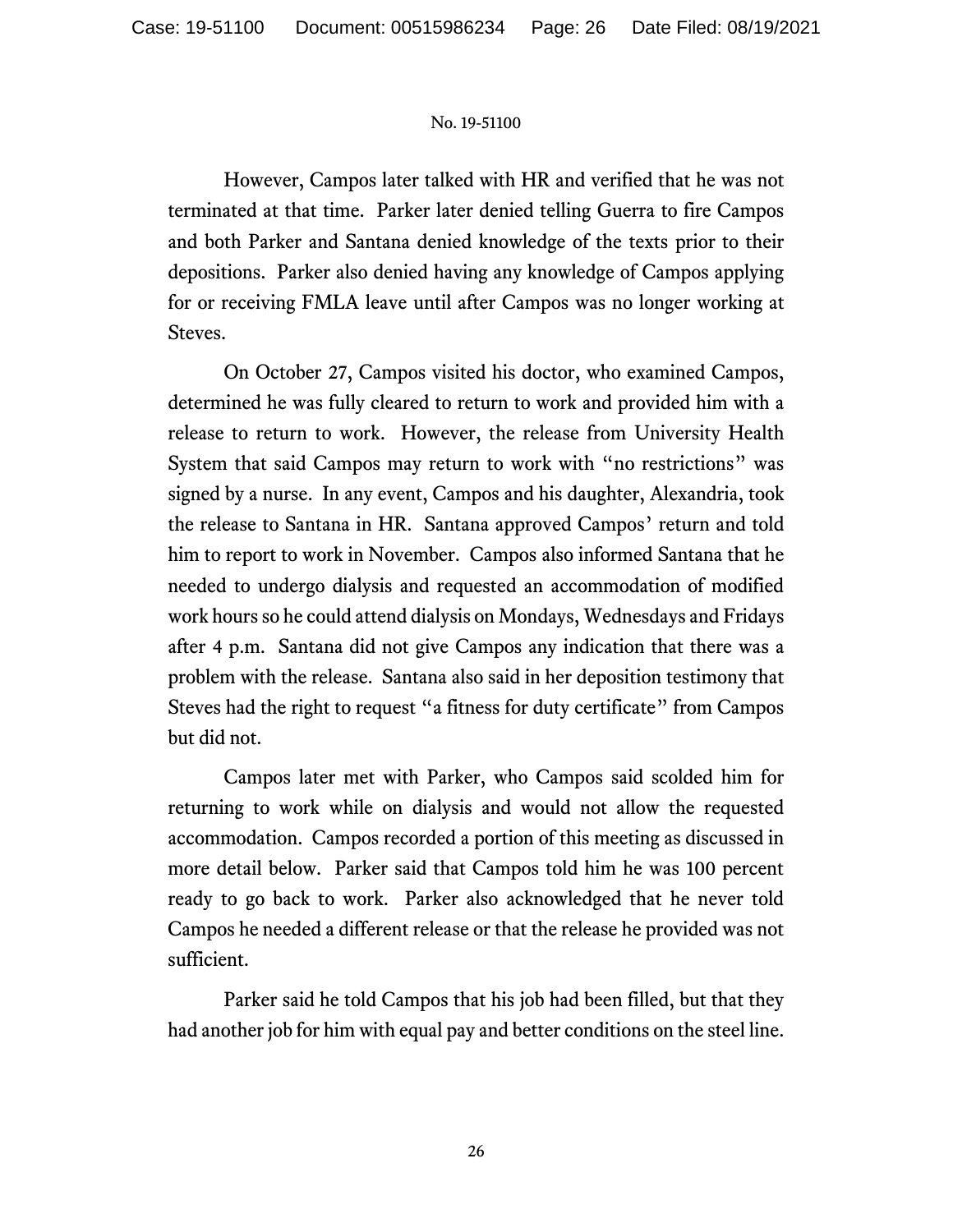However, Campos later talked with HR and verified that he was not terminated at that time. Parker later denied telling Guerra to fire Campos and both Parker and Santana denied knowledge of the texts prior to their depositions. Parker also denied having any knowledge of Campos applying for or receiving FMLA leave until after Campos was no longer working at Steves.

On October 27, Campos visited his doctor, who examined Campos, determined he was fully cleared to return to work and provided him with a release to return to work. However, the release from University Health System that said Campos may return to work with "no restrictions" was signed by a nurse. In any event, Campos and his daughter, Alexandria, took the release to Santana in HR. Santana approved Campos' return and told him to report to work in November. Campos also informed Santana that he needed to undergo dialysis and requested an accommodation of modified work hours so he could attend dialysis on Mondays, Wednesdays and Fridays after 4 p.m. Santana did not give Campos any indication that there was a problem with the release. Santana also said in her deposition testimony that Steves had the right to request "a fitness for duty certificate" from Campos but did not.

Campos later met with Parker, who Campos said scolded him for returning to work while on dialysis and would not allow the requested accommodation. Campos recorded a portion of this meeting as discussed in more detail below. Parker said that Campos told him he was 100 percent ready to go back to work. Parker also acknowledged that he never told Campos he needed a different release or that the release he provided was not sufficient.

Parker said he told Campos that his job had been filled, but that they had another job for him with equal pay and better conditions on the steel line.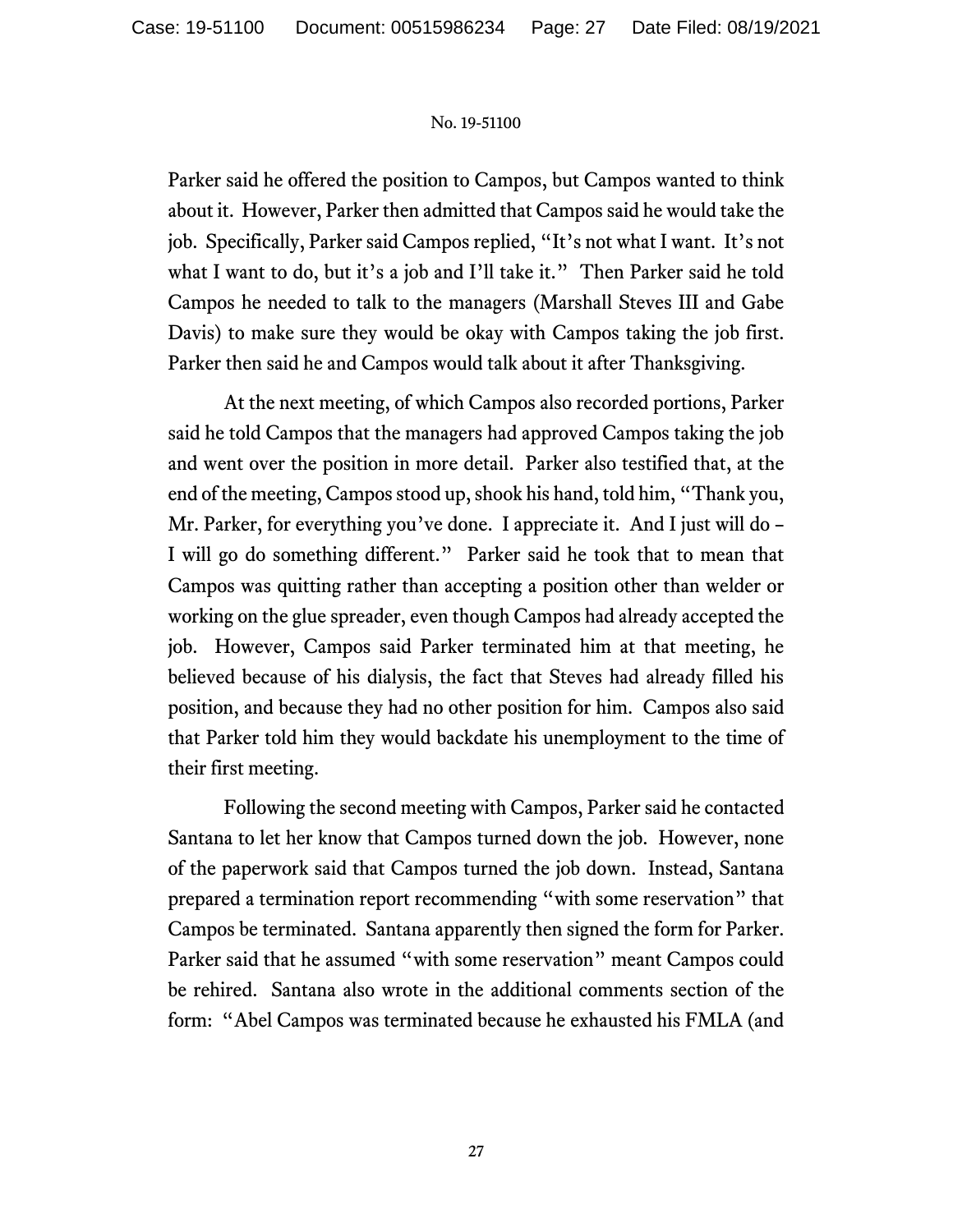Parker said he offered the position to Campos, but Campos wanted to think about it. However, Parker then admitted that Campos said he would take the job. Specifically, Parker said Campos replied, "It's not what I want. It's not what I want to do, but it's a job and I'll take it." Then Parker said he told Campos he needed to talk to the managers (Marshall Steves III and Gabe Davis) to make sure they would be okay with Campos taking the job first. Parker then said he and Campos would talk about it after Thanksgiving.

At the next meeting, of which Campos also recorded portions, Parker said he told Campos that the managers had approved Campos taking the job and went over the position in more detail. Parker also testified that, at the end of the meeting, Campos stood up, shook his hand, told him, "Thank you, Mr. Parker, for everything you've done. I appreciate it. And I just will do – I will go do something different." Parker said he took that to mean that Campos was quitting rather than accepting a position other than welder or working on the glue spreader, even though Campos had already accepted the job. However, Campos said Parker terminated him at that meeting, he believed because of his dialysis, the fact that Steves had already filled his position, and because they had no other position for him. Campos also said that Parker told him they would backdate his unemployment to the time of their first meeting.

Following the second meeting with Campos, Parker said he contacted Santana to let her know that Campos turned down the job. However, none of the paperwork said that Campos turned the job down. Instead, Santana prepared a termination report recommending "with some reservation" that Campos be terminated. Santana apparently then signed the form for Parker. Parker said that he assumed "with some reservation" meant Campos could be rehired. Santana also wrote in the additional comments section of the form: "Abel Campos was terminated because he exhausted his FMLA (and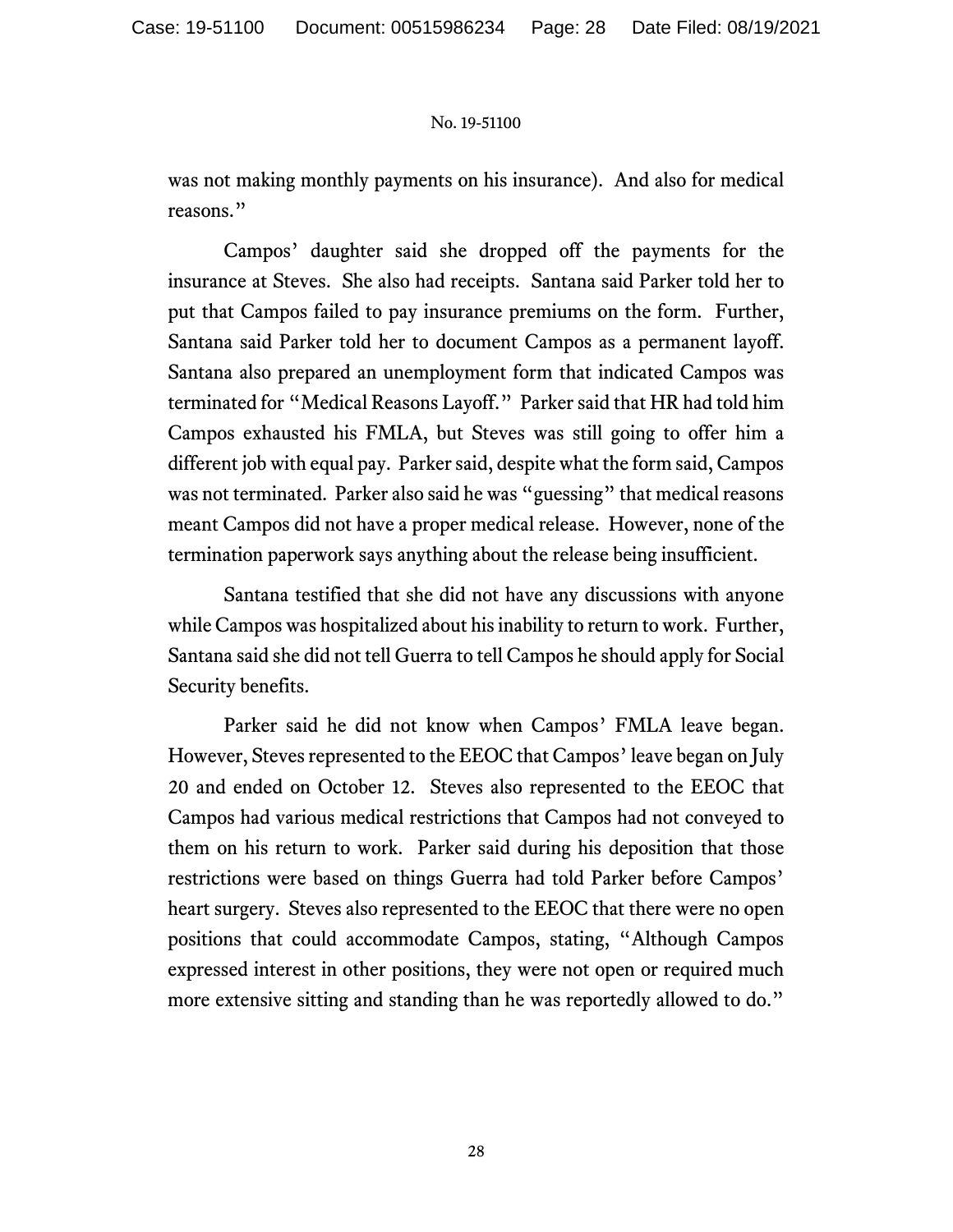was not making monthly payments on his insurance). And also for medical reasons."

Campos' daughter said she dropped off the payments for the insurance at Steves. She also had receipts. Santana said Parker told her to put that Campos failed to pay insurance premiums on the form. Further, Santana said Parker told her to document Campos as a permanent layoff. Santana also prepared an unemployment form that indicated Campos was terminated for "Medical Reasons Layoff." Parker said that HR had told him Campos exhausted his FMLA, but Steves was still going to offer him a different job with equal pay. Parker said, despite what the form said, Campos was not terminated. Parker also said he was "guessing" that medical reasons meant Campos did not have a proper medical release. However, none of the termination paperwork says anything about the release being insufficient.

Santana testified that she did not have any discussions with anyone while Campos was hospitalized about his inability to return to work. Further, Santana said she did not tell Guerra to tell Campos he should apply for Social Security benefits.

Parker said he did not know when Campos' FMLA leave began. However, Steves represented to the EEOC that Campos' leave began on July 20 and ended on October 12. Steves also represented to the EEOC that Campos had various medical restrictions that Campos had not conveyed to them on his return to work. Parker said during his deposition that those restrictions were based on things Guerra had told Parker before Campos' heart surgery. Steves also represented to the EEOC that there were no open positions that could accommodate Campos, stating, "Although Campos expressed interest in other positions, they were not open or required much more extensive sitting and standing than he was reportedly allowed to do."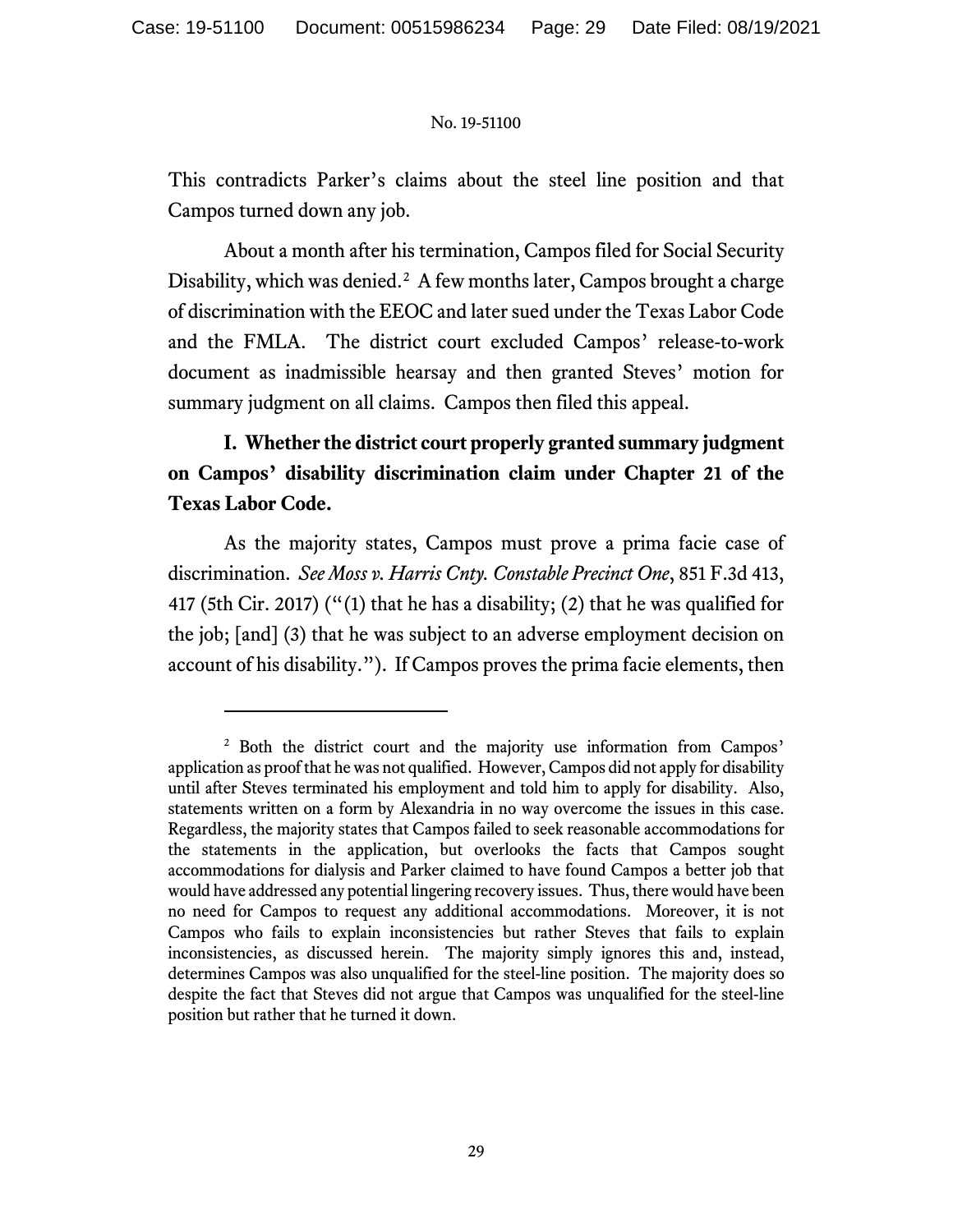This contradicts Parker's claims about the steel line position and that Campos turned down any job.

About a month after his termination, Campos filed for Social Security Disability, which was denied.<sup>[2](#page-28-0)</sup> A few months later, Campos brought a charge of discrimination with the EEOC and later sued under the Texas Labor Code and the FMLA. The district court excluded Campos' release-to-work document as inadmissible hearsay and then granted Steves' motion for summary judgment on all claims. Campos then filed this appeal.

# **I. Whether the district court properly granted summary judgment on Campos' disability discrimination claim under Chapter 21 of the Texas Labor Code.**

As the majority states, Campos must prove a prima facie case of discrimination. *See Moss v. Harris Cnty. Constable Precinct One*, 851 F.3d 413, 417 (5th Cir. 2017) ("(1) that he has a disability; (2) that he was qualified for the job; [and] (3) that he was subject to an adverse employment decision on account of his disability."). If Campos proves the prima facie elements, then

<span id="page-28-0"></span><sup>2</sup> Both the district court and the majority use information from Campos' application as proof that he was not qualified. However, Campos did not apply for disability until after Steves terminated his employment and told him to apply for disability. Also, statements written on a form by Alexandria in no way overcome the issues in this case. Regardless, the majority states that Campos failed to seek reasonable accommodations for the statements in the application, but overlooks the facts that Campos sought accommodations for dialysis and Parker claimed to have found Campos a better job that would have addressed any potential lingering recovery issues. Thus, there would have been no need for Campos to request any additional accommodations. Moreover, it is not Campos who fails to explain inconsistencies but rather Steves that fails to explain inconsistencies, as discussed herein. The majority simply ignores this and, instead, determines Campos was also unqualified for the steel-line position. The majority does so despite the fact that Steves did not argue that Campos was unqualified for the steel-line position but rather that he turned it down.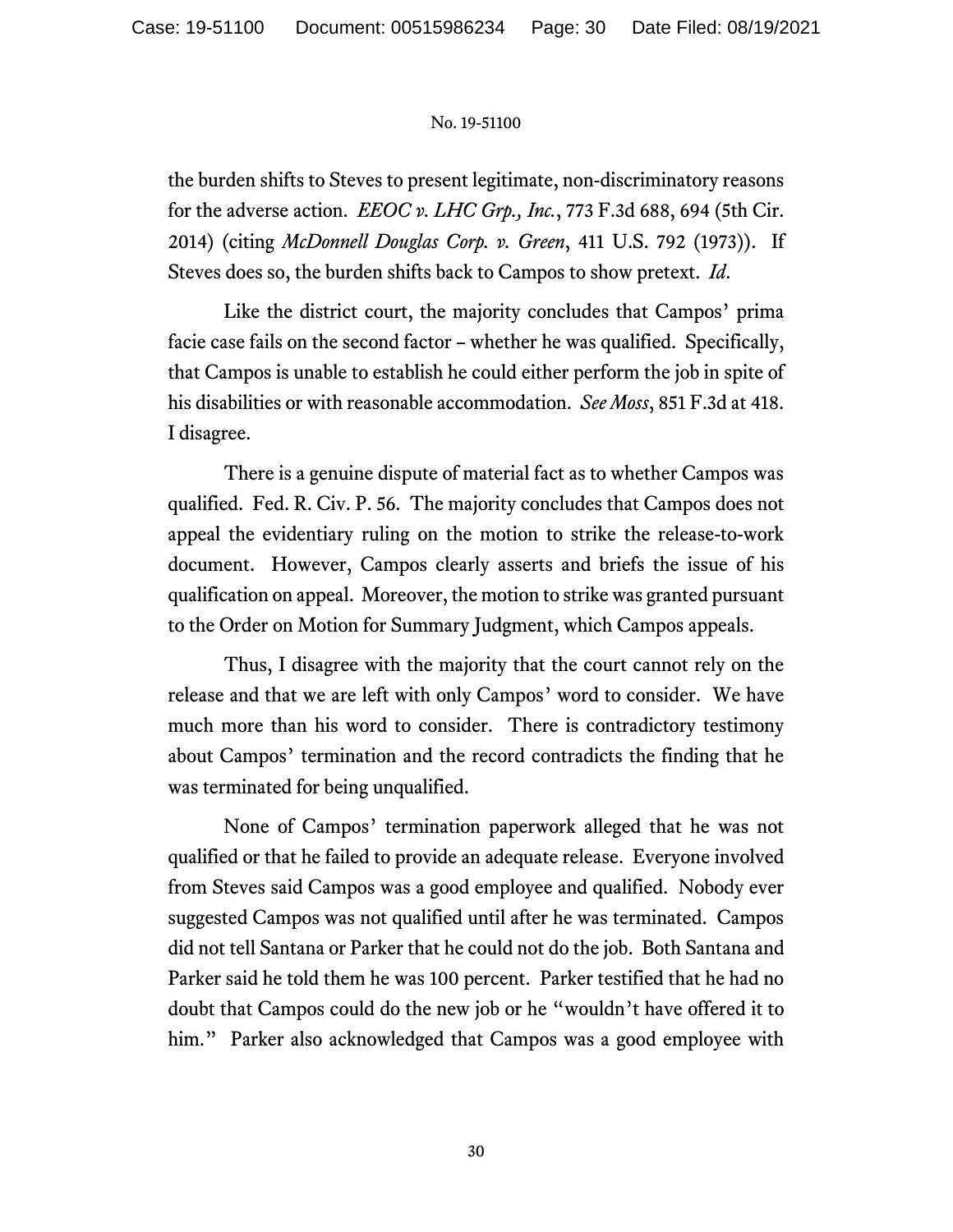the burden shifts to Steves to present legitimate, non-discriminatory reasons for the adverse action. *EEOC v. LHC Grp., Inc.*, 773 F.3d 688, 694 (5th Cir. 2014) (citing *McDonnell Douglas Corp. v. Green*, 411 U.S. 792 (1973)). If Steves does so, the burden shifts back to Campos to show pretext. *Id*.

Like the district court, the majority concludes that Campos' prima facie case fails on the second factor – whether he was qualified. Specifically, that Campos is unable to establish he could either perform the job in spite of his disabilities or with reasonable accommodation. *See Moss*, 851 F.3d at 418. I disagree.

There is a genuine dispute of material fact as to whether Campos was qualified. Fed. R. Civ. P. 56. The majority concludes that Campos does not appeal the evidentiary ruling on the motion to strike the release-to-work document. However, Campos clearly asserts and briefs the issue of his qualification on appeal. Moreover, the motion to strike was granted pursuant to the Order on Motion for Summary Judgment, which Campos appeals.

Thus, I disagree with the majority that the court cannot rely on the release and that we are left with only Campos' word to consider. We have much more than his word to consider. There is contradictory testimony about Campos' termination and the record contradicts the finding that he was terminated for being unqualified.

None of Campos' termination paperwork alleged that he was not qualified or that he failed to provide an adequate release. Everyone involved from Steves said Campos was a good employee and qualified. Nobody ever suggested Campos was not qualified until after he was terminated. Campos did not tell Santana or Parker that he could not do the job. Both Santana and Parker said he told them he was 100 percent. Parker testified that he had no doubt that Campos could do the new job or he "wouldn't have offered it to him." Parker also acknowledged that Campos was a good employee with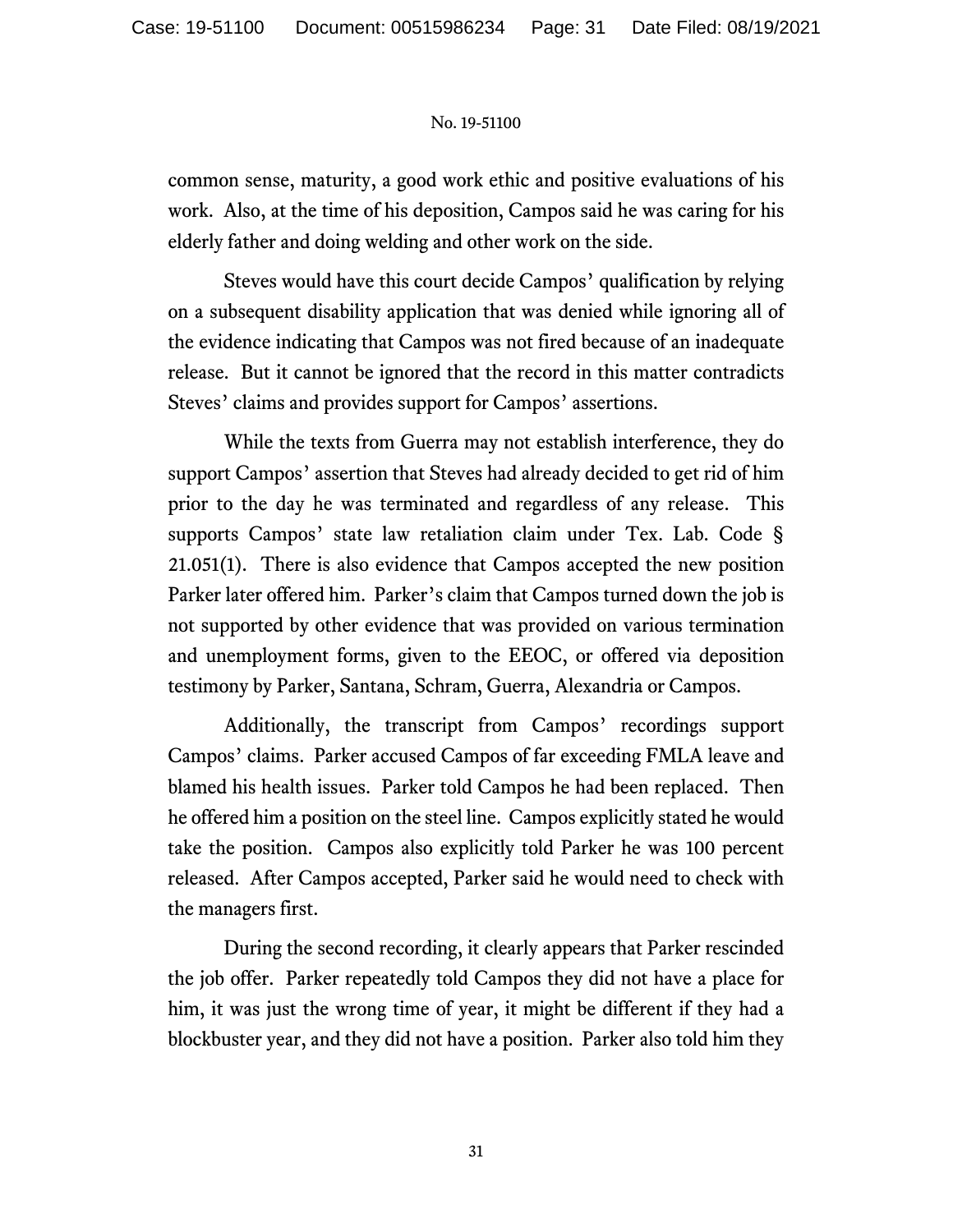common sense, maturity, a good work ethic and positive evaluations of his work. Also, at the time of his deposition, Campos said he was caring for his elderly father and doing welding and other work on the side.

Steves would have this court decide Campos' qualification by relying on a subsequent disability application that was denied while ignoring all of the evidence indicating that Campos was not fired because of an inadequate release. But it cannot be ignored that the record in this matter contradicts Steves' claims and provides support for Campos' assertions.

While the texts from Guerra may not establish interference, they do support Campos' assertion that Steves had already decided to get rid of him prior to the day he was terminated and regardless of any release. This supports Campos' state law retaliation claim under Tex. Lab. Code § 21.051(1). There is also evidence that Campos accepted the new position Parker later offered him. Parker's claim that Campos turned down the job is not supported by other evidence that was provided on various termination and unemployment forms, given to the EEOC, or offered via deposition testimony by Parker, Santana, Schram, Guerra, Alexandria or Campos.

Additionally, the transcript from Campos' recordings support Campos' claims. Parker accused Campos of far exceeding FMLA leave and blamed his health issues. Parker told Campos he had been replaced. Then he offered him a position on the steel line. Campos explicitly stated he would take the position. Campos also explicitly told Parker he was 100 percent released. After Campos accepted, Parker said he would need to check with the managers first.

During the second recording, it clearly appears that Parker rescinded the job offer. Parker repeatedly told Campos they did not have a place for him, it was just the wrong time of year, it might be different if they had a blockbuster year, and they did not have a position. Parker also told him they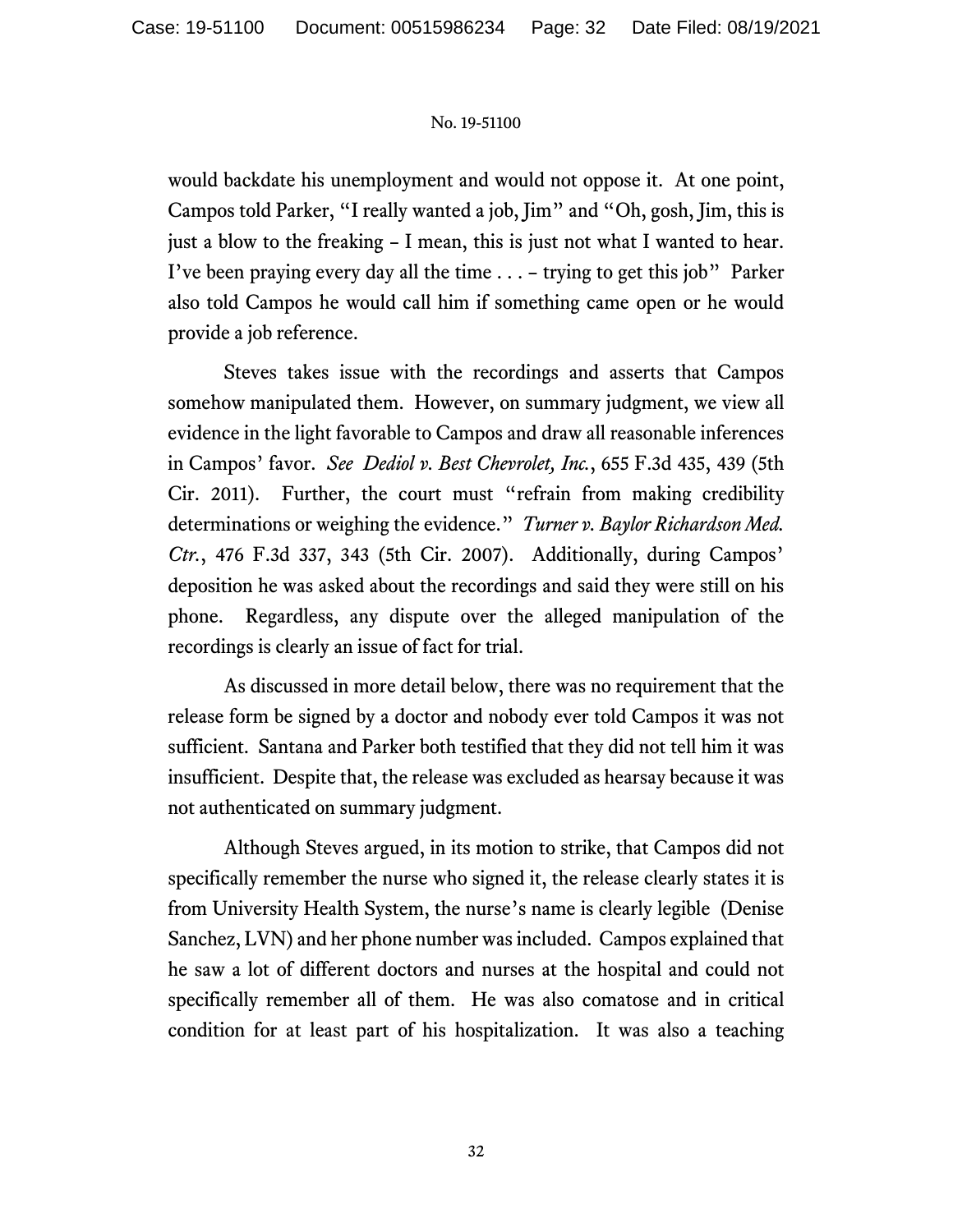would backdate his unemployment and would not oppose it. At one point, Campos told Parker, "I really wanted a job, Jim" and "Oh, gosh, Jim, this is just a blow to the freaking – I mean, this is just not what I wanted to hear. I've been praying every day all the time . . . – trying to get this job" Parker also told Campos he would call him if something came open or he would provide a job reference.

Steves takes issue with the recordings and asserts that Campos somehow manipulated them. However, on summary judgment, we view all evidence in the light favorable to Campos and draw all reasonable inferences in Campos' favor. *See Dediol v. Best Chevrolet, Inc.*, 655 F.3d 435, 439 (5th Cir. 2011). Further, the court must "refrain from making credibility determinations or weighing the evidence." *Turner v. Baylor Richardson Med. Ctr.*, 476 F.3d 337, 343 (5th Cir. 2007). Additionally, during Campos' deposition he was asked about the recordings and said they were still on his phone. Regardless, any dispute over the alleged manipulation of the recordings is clearly an issue of fact for trial.

As discussed in more detail below, there was no requirement that the release form be signed by a doctor and nobody ever told Campos it was not sufficient. Santana and Parker both testified that they did not tell him it was insufficient. Despite that, the release was excluded as hearsay because it was not authenticated on summary judgment.

Although Steves argued, in its motion to strike, that Campos did not specifically remember the nurse who signed it, the release clearly states it is from University Health System, the nurse's name is clearly legible (Denise Sanchez, LVN) and her phone number was included. Campos explained that he saw a lot of different doctors and nurses at the hospital and could not specifically remember all of them. He was also comatose and in critical condition for at least part of his hospitalization. It was also a teaching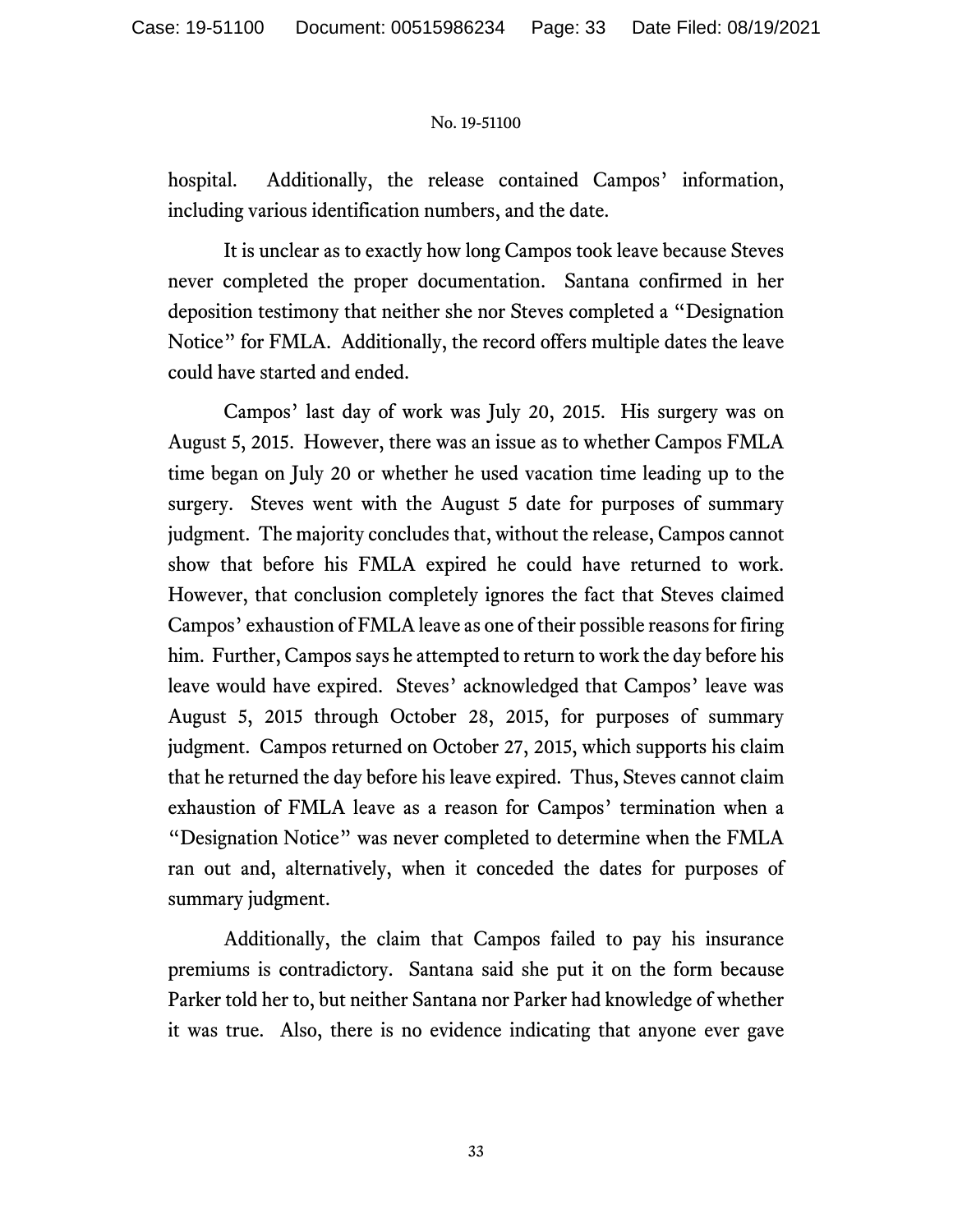hospital. Additionally, the release contained Campos' information, including various identification numbers, and the date.

It is unclear as to exactly how long Campos took leave because Steves never completed the proper documentation. Santana confirmed in her deposition testimony that neither she nor Steves completed a "Designation Notice" for FMLA. Additionally, the record offers multiple dates the leave could have started and ended.

Campos' last day of work was July 20, 2015. His surgery was on August 5, 2015. However, there was an issue as to whether Campos FMLA time began on July 20 or whether he used vacation time leading up to the surgery. Steves went with the August 5 date for purposes of summary judgment. The majority concludes that, without the release, Campos cannot show that before his FMLA expired he could have returned to work. However, that conclusion completely ignores the fact that Steves claimed Campos' exhaustion of FMLA leave as one of their possible reasons for firing him. Further, Campos says he attempted to return to work the day before his leave would have expired. Steves' acknowledged that Campos' leave was August 5, 2015 through October 28, 2015, for purposes of summary judgment. Campos returned on October 27, 2015, which supports his claim that he returned the day before his leave expired. Thus, Steves cannot claim exhaustion of FMLA leave as a reason for Campos' termination when a "Designation Notice" was never completed to determine when the FMLA ran out and, alternatively, when it conceded the dates for purposes of summary judgment.

Additionally, the claim that Campos failed to pay his insurance premiums is contradictory. Santana said she put it on the form because Parker told her to, but neither Santana nor Parker had knowledge of whether it was true. Also, there is no evidence indicating that anyone ever gave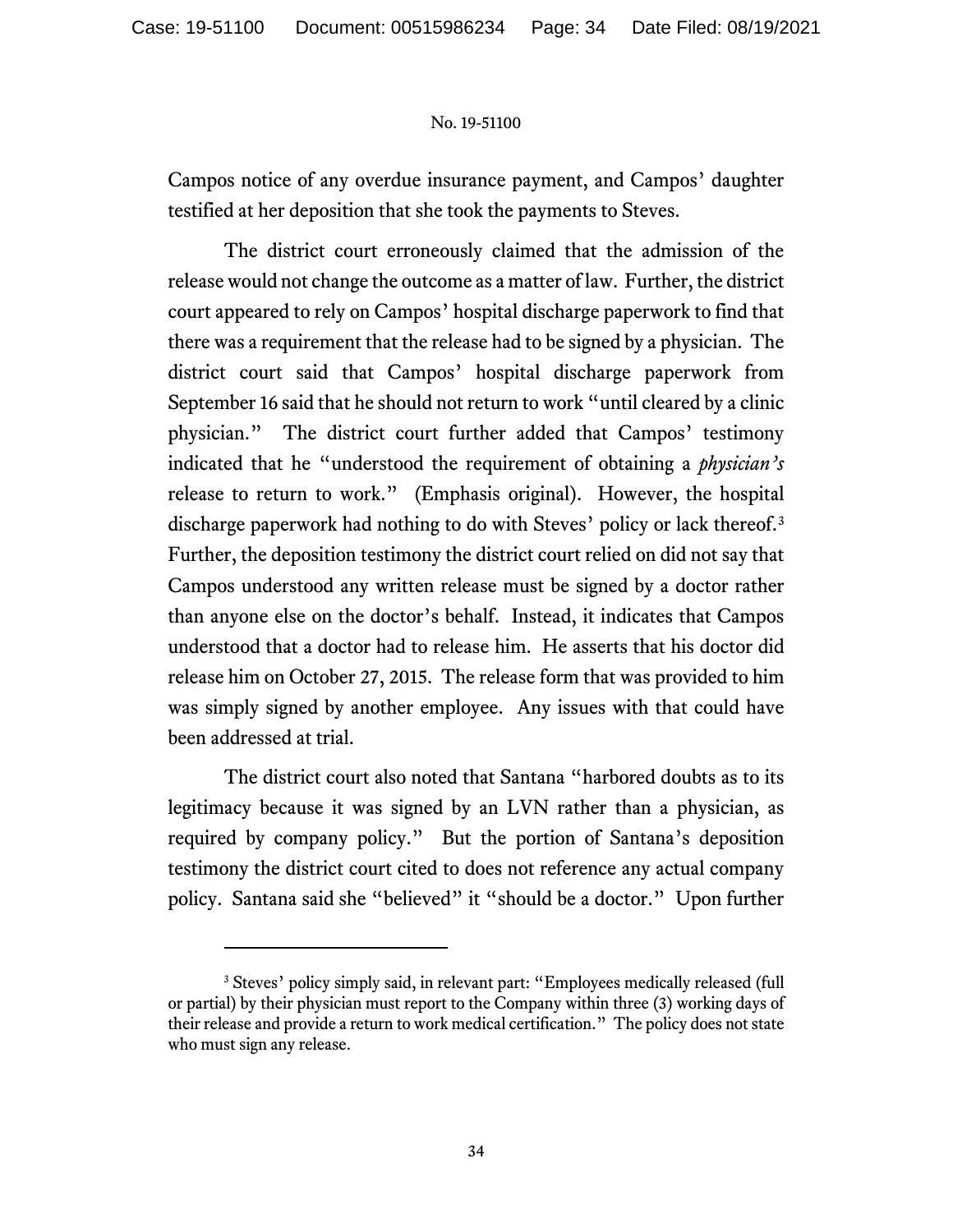Campos notice of any overdue insurance payment, and Campos' daughter testified at her deposition that she took the payments to Steves.

The district court erroneously claimed that the admission of the release would not change the outcome as a matter of law. Further, the district court appeared to rely on Campos' hospital discharge paperwork to find that there was a requirement that the release had to be signed by a physician. The district court said that Campos' hospital discharge paperwork from September 16 said that he should not return to work "until cleared by a clinic physician." The district court further added that Campos' testimony indicated that he "understood the requirement of obtaining a *physician's* release to return to work." (Emphasis original). However, the hospital discharge paperwork had nothing to do with Steves' policy or lack thereof.<sup>[3](#page-33-0)</sup> Further, the deposition testimony the district court relied on did not say that Campos understood any written release must be signed by a doctor rather than anyone else on the doctor's behalf. Instead, it indicates that Campos understood that a doctor had to release him. He asserts that his doctor did release him on October 27, 2015. The release form that was provided to him was simply signed by another employee. Any issues with that could have been addressed at trial.

The district court also noted that Santana "harbored doubts as to its legitimacy because it was signed by an LVN rather than a physician, as required by company policy." But the portion of Santana's deposition testimony the district court cited to does not reference any actual company policy. Santana said she "believed" it "should be a doctor." Upon further

<span id="page-33-0"></span><sup>&</sup>lt;sup>3</sup> Steves' policy simply said, in relevant part: "Employees medically released (full or partial) by their physician must report to the Company within three (3) working days of their release and provide a return to work medical certification." The policy does not state who must sign any release.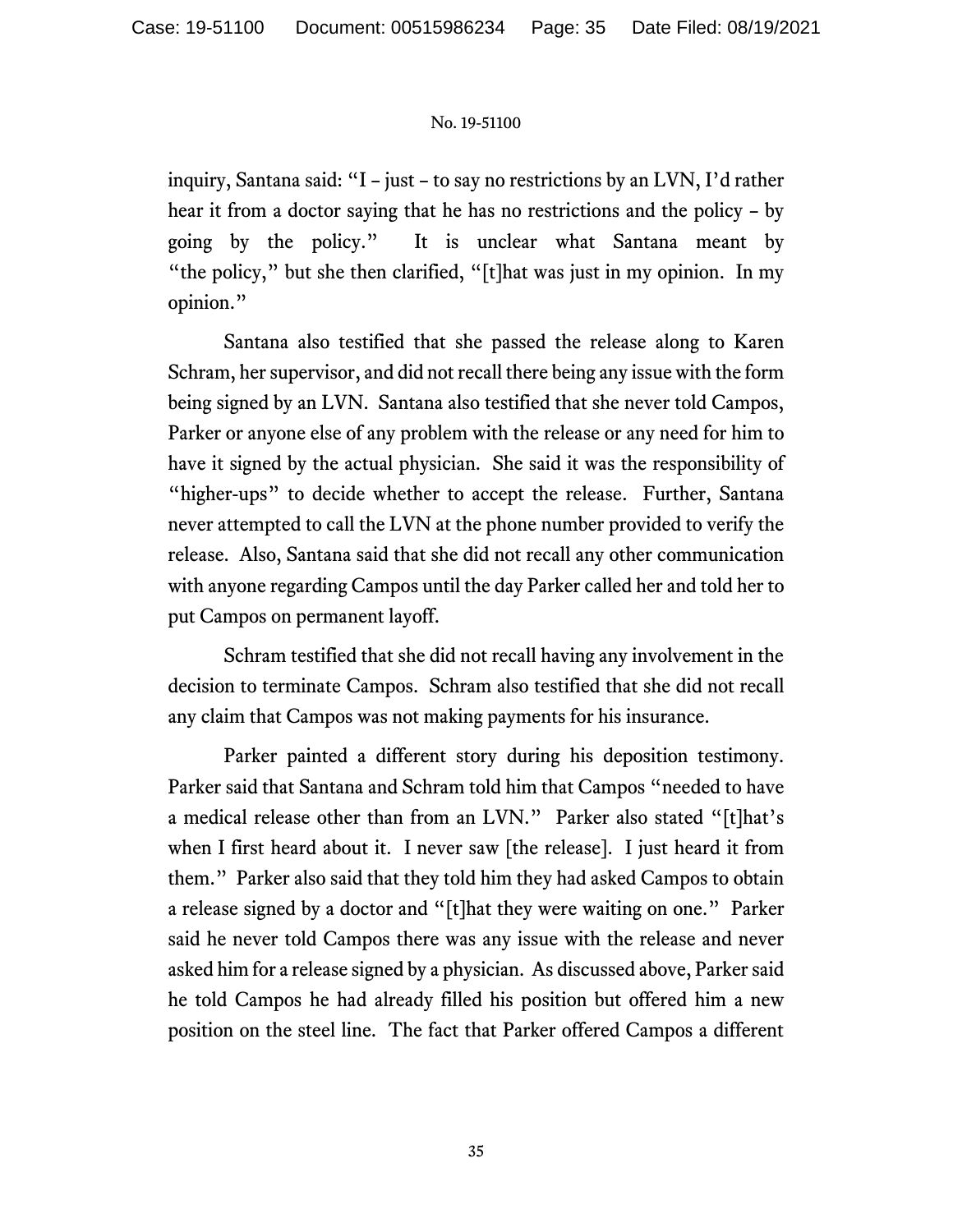inquiry, Santana said: "I – just – to say no restrictions by an LVN, I'd rather hear it from a doctor saying that he has no restrictions and the policy – by going by the policy." It is unclear what Santana meant by "the policy," but she then clarified, "[t]hat was just in my opinion. In my opinion."

Santana also testified that she passed the release along to Karen Schram, her supervisor, and did not recall there being any issue with the form being signed by an LVN. Santana also testified that she never told Campos, Parker or anyone else of any problem with the release or any need for him to have it signed by the actual physician. She said it was the responsibility of "higher-ups" to decide whether to accept the release. Further, Santana never attempted to call the LVN at the phone number provided to verify the release. Also, Santana said that she did not recall any other communication with anyone regarding Campos until the day Parker called her and told her to put Campos on permanent layoff.

Schram testified that she did not recall having any involvement in the decision to terminate Campos. Schram also testified that she did not recall any claim that Campos was not making payments for his insurance.

Parker painted a different story during his deposition testimony. Parker said that Santana and Schram told him that Campos "needed to have a medical release other than from an LVN." Parker also stated "[t]hat's when I first heard about it. I never saw [the release]. I just heard it from them." Parker also said that they told him they had asked Campos to obtain a release signed by a doctor and "[t]hat they were waiting on one." Parker said he never told Campos there was any issue with the release and never asked him for a release signed by a physician. As discussed above, Parker said he told Campos he had already filled his position but offered him a new position on the steel line. The fact that Parker offered Campos a different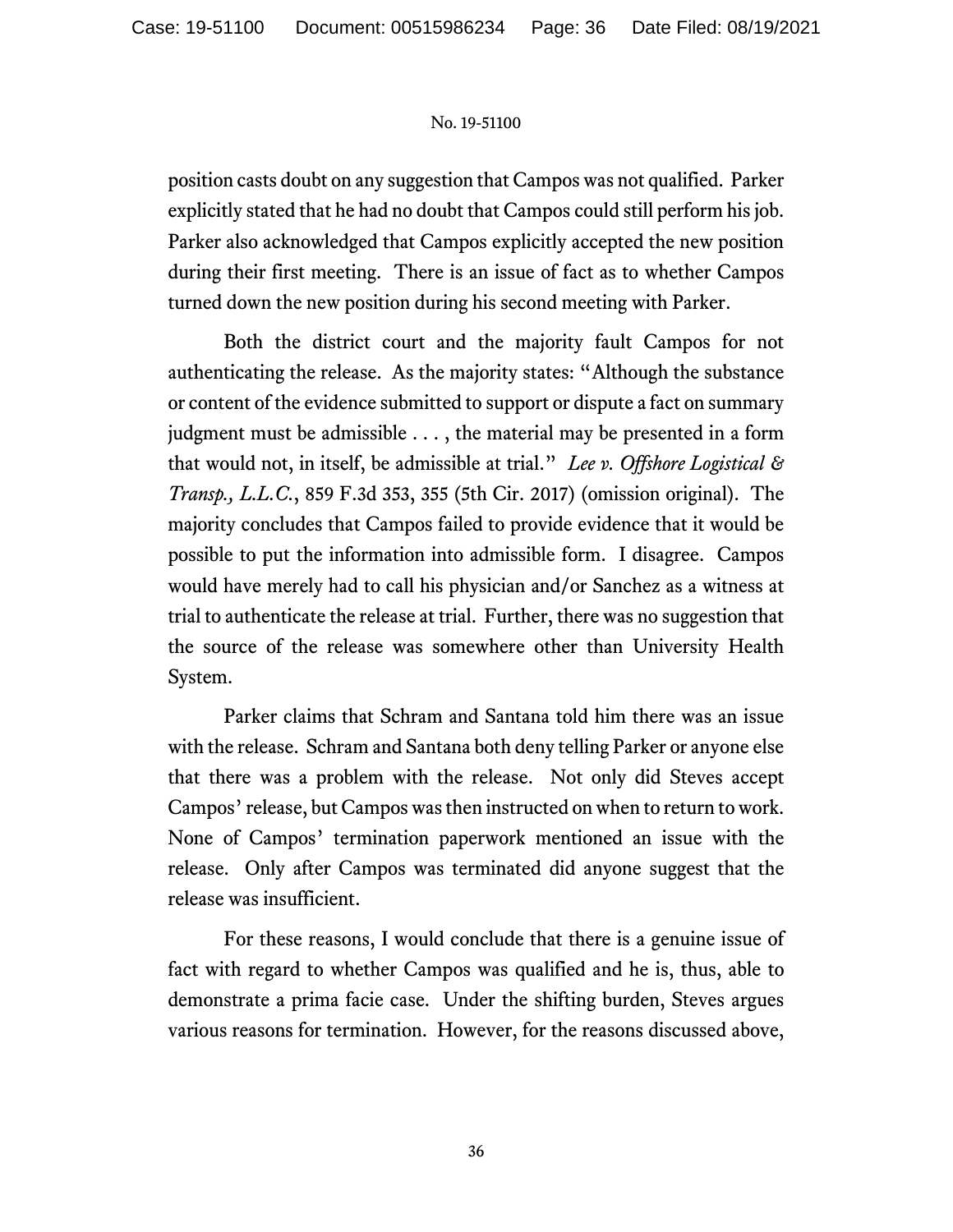position casts doubt on any suggestion that Campos was not qualified. Parker explicitly stated that he had no doubt that Campos could still perform his job. Parker also acknowledged that Campos explicitly accepted the new position during their first meeting. There is an issue of fact as to whether Campos turned down the new position during his second meeting with Parker.

Both the district court and the majority fault Campos for not authenticating the release. As the majority states: "Although the substance or content of the evidence submitted to support or dispute a fact on summary judgment must be admissible . . . , the material may be presented in a form that would not, in itself, be admissible at trial." *Lee v. Offshore Logistical & Transp., L.L.C.*, 859 F.3d 353, 355 (5th Cir. 2017) (omission original). The majority concludes that Campos failed to provide evidence that it would be possible to put the information into admissible form. I disagree. Campos would have merely had to call his physician and/or Sanchez as a witness at trial to authenticate the release at trial. Further, there was no suggestion that the source of the release was somewhere other than University Health System.

Parker claims that Schram and Santana told him there was an issue with the release. Schram and Santana both deny telling Parker or anyone else that there was a problem with the release. Not only did Steves accept Campos' release, but Campos was then instructed on when to return to work. None of Campos' termination paperwork mentioned an issue with the release. Only after Campos was terminated did anyone suggest that the release was insufficient.

For these reasons, I would conclude that there is a genuine issue of fact with regard to whether Campos was qualified and he is, thus, able to demonstrate a prima facie case. Under the shifting burden, Steves argues various reasons for termination. However, for the reasons discussed above,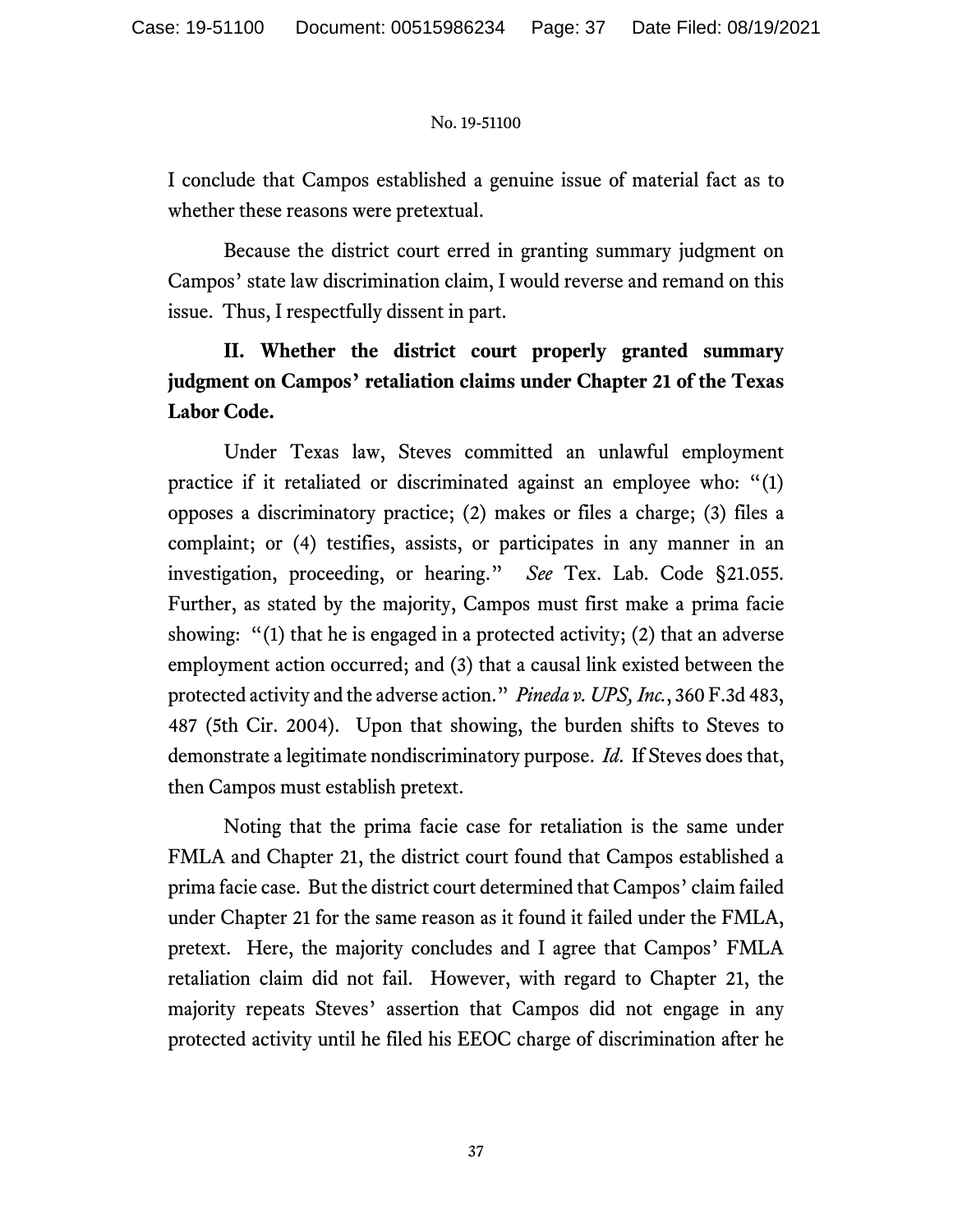I conclude that Campos established a genuine issue of material fact as to whether these reasons were pretextual.

Because the district court erred in granting summary judgment on Campos' state law discrimination claim, I would reverse and remand on this issue. Thus, I respectfully dissent in part.

# **II. Whether the district court properly granted summary judgment on Campos' retaliation claims under Chapter 21 of the Texas Labor Code.**

Under Texas law, Steves committed an unlawful employment practice if it retaliated or discriminated against an employee who: "(1) opposes a discriminatory practice; (2) makes or files a charge; (3) files a complaint; or (4) testifies, assists, or participates in any manner in an investigation, proceeding, or hearing." *See* Tex. Lab. Code §21.055. Further, as stated by the majority, Campos must first make a prima facie showing: "(1) that he is engaged in a protected activity; (2) that an adverse employment action occurred; and (3) that a causal link existed between the protected activity and the adverse action." *Pineda v. UPS, Inc.*, 360 F.3d 483, 487 (5th Cir. 2004). Upon that showing, the burden shifts to Steves to demonstrate a legitimate nondiscriminatory purpose. *Id*. If Steves does that, then Campos must establish pretext.

Noting that the prima facie case for retaliation is the same under FMLA and Chapter 21, the district court found that Campos established a prima facie case. But the district court determined that Campos' claim failed under Chapter 21 for the same reason as it found it failed under the FMLA, pretext. Here, the majority concludes and I agree that Campos' FMLA retaliation claim did not fail. However, with regard to Chapter 21, the majority repeats Steves' assertion that Campos did not engage in any protected activity until he filed his EEOC charge of discrimination after he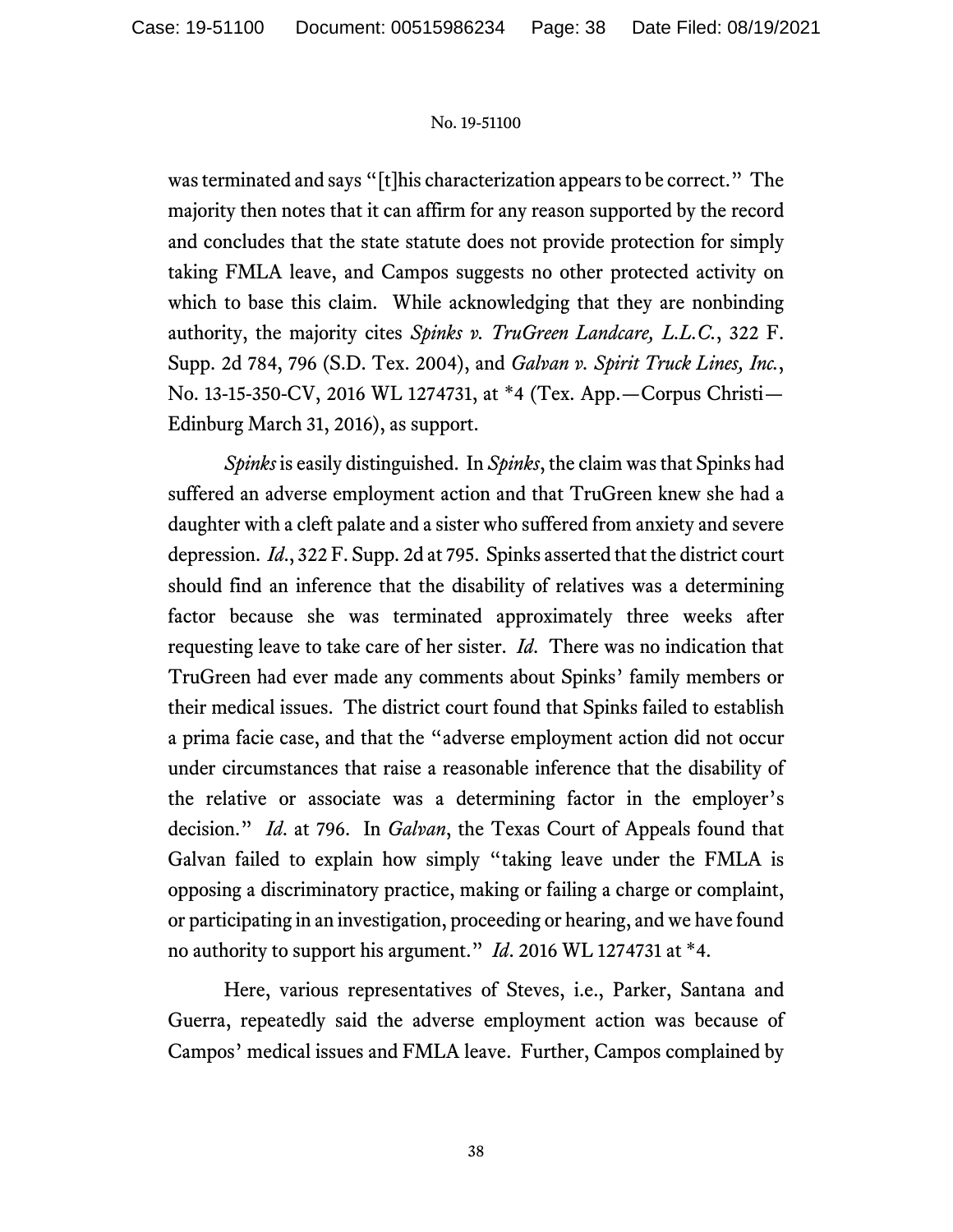was terminated and says "[t]his characterization appears to be correct." The majority then notes that it can affirm for any reason supported by the record and concludes that the state statute does not provide protection for simply taking FMLA leave, and Campos suggests no other protected activity on which to base this claim. While acknowledging that they are nonbinding authority, the majority cites *Spinks v. TruGreen Landcare, L.L.C.*, 322 F. Supp. 2d 784, 796 (S.D. Tex. 2004), and *Galvan v. Spirit Truck Lines, Inc.*, No. 13-15-350-CV, 2016 WL 1274731, at \*4 (Tex. App.—Corpus Christi— Edinburg March 31, 2016), as support.

*Spinks* is easily distinguished. In *Spinks*, the claim was that Spinks had suffered an adverse employment action and that TruGreen knew she had a daughter with a cleft palate and a sister who suffered from anxiety and severe depression. *Id*., 322 F. Supp. 2d at 795. Spinks asserted that the district court should find an inference that the disability of relatives was a determining factor because she was terminated approximately three weeks after requesting leave to take care of her sister. *Id*. There was no indication that TruGreen had ever made any comments about Spinks' family members or their medical issues. The district court found that Spinks failed to establish a prima facie case, and that the "adverse employment action did not occur under circumstances that raise a reasonable inference that the disability of the relative or associate was a determining factor in the employer's decision." *Id*. at 796. In *Galvan*, the Texas Court of Appeals found that Galvan failed to explain how simply "taking leave under the FMLA is opposing a discriminatory practice, making or failing a charge or complaint, or participating in an investigation, proceeding or hearing, and we have found no authority to support his argument." *Id*. 2016 WL 1274731 at \*4.

Here, various representatives of Steves, i.e., Parker, Santana and Guerra, repeatedly said the adverse employment action was because of Campos' medical issues and FMLA leave. Further, Campos complained by